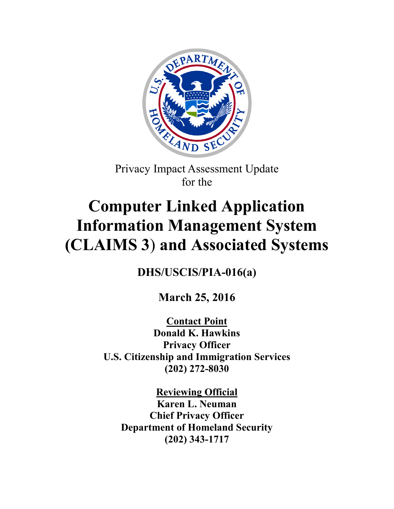

Privacy Impact Assessment Update for the

# **Computer Linked Application Information Management System (CLAIMS 3**) **and Associated Systems**

**DHS/USCIS/PIA-016(a)**

**March 25, 2016**

**Contact Point Donald K. Hawkins Privacy Officer U.S. Citizenship and Immigration Services (202) 272-8030**

**Reviewing Official Karen L. Neuman Chief Privacy Officer Department of Homeland Security (202) 343-1717**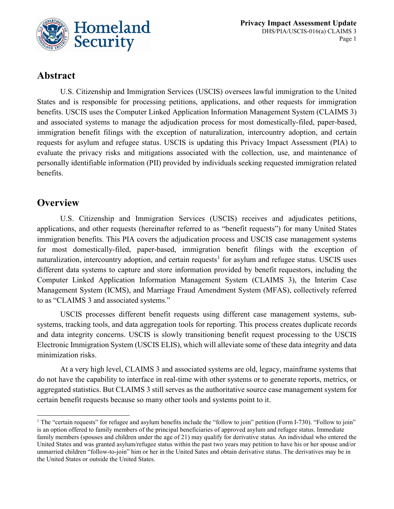

# **Abstract**

U.S. Citizenship and Immigration Services (USCIS) oversees lawful immigration to the United States and is responsible for processing petitions, applications, and other requests for immigration benefits. USCIS uses the Computer Linked Application Information Management System (CLAIMS 3) and associated systems to manage the adjudication process for most domestically-filed, paper-based, immigration benefit filings with the exception of naturalization, intercountry adoption, and certain requests for asylum and refugee status. USCIS is updating this Privacy Impact Assessment (PIA) to evaluate the privacy risks and mitigations associated with the collection, use, and maintenance of personally identifiable information (PII) provided by individuals seeking requested immigration related benefits.

# **Overview**

U.S. Citizenship and Immigration Services (USCIS) receives and adjudicates petitions, applications, and other requests (hereinafter referred to as "benefit requests") for many United States immigration benefits. This PIA covers the adjudication process and USCIS case management systems for most domestically-filed, paper-based, immigration benefit filings with the exception of naturalization, intercountry adoption, and certain requests<sup>[1](#page-1-0)</sup> for asylum and refugee status. USCIS uses different data systems to capture and store information provided by benefit requestors, including the Computer Linked Application Information Management System (CLAIMS 3), the Interim Case Management System (ICMS), and Marriage Fraud Amendment System (MFAS), collectively referred to as "CLAIMS 3 and associated systems."

USCIS processes different benefit requests using different case management systems, subsystems, tracking tools, and data aggregation tools for reporting. This process creates duplicate records and data integrity concerns. USCIS is slowly transitioning benefit request processing to the USCIS Electronic Immigration System (USCIS ELIS), which will alleviate some of these data integrity and data minimization risks.

At a very high level, CLAIMS 3 and associated systems are old, legacy, mainframe systems that do not have the capability to interface in real-time with other systems or to generate reports, metrics, or aggregated statistics. But CLAIMS 3 still serves as the authoritative source case management system for certain benefit requests because so many other tools and systems point to it.

<span id="page-1-0"></span><sup>&</sup>lt;sup>1</sup> The "certain requests" for refugee and asylum benefits include the "follow to join" petition (Form I-730). "Follow to join" is an option offered to family members of the principal beneficiaries of approved asylum and refugee status. Immediate family members (spouses and children under the age of 21) may qualify for derivative status. An individual who entered the United States and was granted asylum/refugee status within the past two years may petition to have his or her spouse and/or unmarried children "follow-to-join" him or her in the United Sates and obtain derivative status. The derivatives may be in the United States or outside the United States.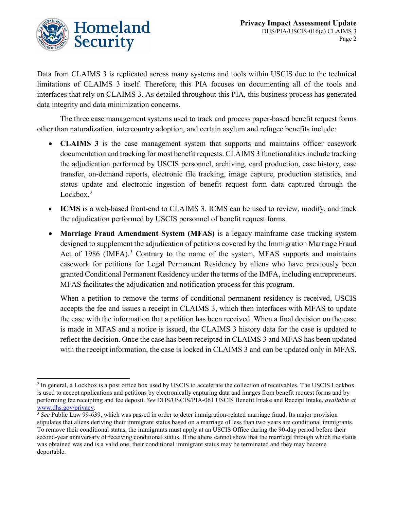

Data from CLAIMS 3 is replicated across many systems and tools within USCIS due to the technical limitations of CLAIMS 3 itself. Therefore, this PIA focuses on documenting all of the tools and interfaces that rely on CLAIMS 3. As detailed throughout this PIA, this business process has generated data integrity and data minimization concerns.

The three case management systems used to track and process paper-based benefit request forms other than naturalization, intercountry adoption, and certain asylum and refugee benefits include:

- **CLAIMS 3** is the case management system that supports and maintains officer casework documentation and tracking for most benefit requests. CLAIMS 3 functionalities include tracking the adjudication performed by USCIS personnel, archiving, card production, case history, case transfer, on-demand reports, electronic file tracking, image capture, production statistics, and status update and electronic ingestion of benefit request form data captured through the Lockbox.<sup>[2](#page-2-0)</sup>
- **ICMS** is a web-based front-end to CLAIMS 3. ICMS can be used to review, modify, and track the adjudication performed by USCIS personnel of benefit request forms.
- **Marriage Fraud Amendment System (MFAS)** is a legacy mainframe case tracking system designed to supplement the adjudication of petitions covered by the Immigration Marriage Fraud Act of 1986 (IMFA).<sup>[3](#page-2-1)</sup> Contrary to the name of the system, MFAS supports and maintains casework for petitions for Legal Permanent Residency by aliens who have previously been granted Conditional Permanent Residency under the terms of the IMFA, including entrepreneurs. MFAS facilitates the adjudication and notification process for this program.

When a petition to remove the terms of conditional permanent residency is received, USCIS accepts the fee and issues a receipt in CLAIMS 3, which then interfaces with MFAS to update the case with the information that a petition has been received. When a final decision on the case is made in MFAS and a notice is issued, the CLAIMS 3 history data for the case is updated to reflect the decision. Once the case has been receipted in CLAIMS 3 and MFAS has been updated with the receipt information, the case is locked in CLAIMS 3 and can be updated only in MFAS.

<span id="page-2-0"></span><sup>&</sup>lt;sup>2</sup> In general, a Lockbox is a post office box used by USCIS to accelerate the collection of receivables. The USCIS Lockbox is used to accept applications and petitions by electronically capturing data and images from benefit request forms and by performing fee receipting and fee deposit. *See* DHS/USCIS/PIA-061 USCIS Benefit Intake and Receipt Intake, *available at*  [www.dhs.gov/privacy.](http://www.dhs.gov/privacy)

<span id="page-2-1"></span><sup>3</sup> *See* Public Law 99-639, which was passed in order to deter immigration-related marriage fraud. Its major provision stipulates that aliens deriving their immigrant status based on a marriage of less than two years are conditional immigrants. To remove their conditional status, the immigrants must apply at an USCIS Office during the 90-day period before their second-year anniversary of receiving conditional status. If the aliens cannot show that the marriage through which the status was obtained was and is a valid one, their conditional immigrant status may be terminated and they may become deportable.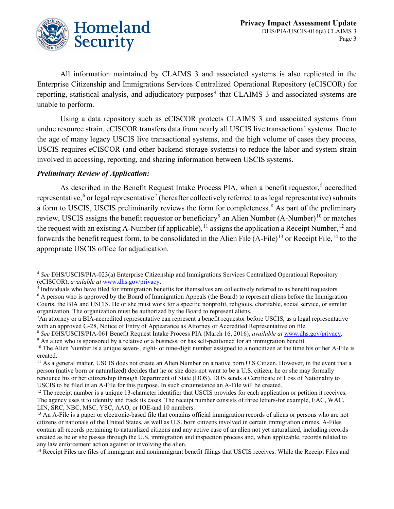

All information maintained by CLAIMS 3 and associated systems is also replicated in the Enterprise Citizenship and Immigrations Services Centralized Operational Repository (eCISCOR) for reporting, statistical analysis, and adjudicatory purposes<sup>[4](#page-3-0)</sup> that CLAIMS 3 and associated systems are unable to perform.

Using a data repository such as eCISCOR protects CLAIMS 3 and associated systems from undue resource strain. eCISCOR transfers data from nearly all USCIS live transactional systems. Due to the age of many legacy USCIS live transactional systems, and the high volume of cases they process, USCIS requires eCISCOR (and other backend storage systems) to reduce the labor and system strain involved in accessing, reporting, and sharing information between USCIS systems.

#### *Preliminary Review of Application:*

-

As described in the Benefit Request Intake Process PIA, when a benefit requestor,<sup>[5](#page-3-1)</sup> accredited representative,<sup>[6](#page-3-2)</sup> or legal representative<sup>[7](#page-3-3)</sup> (hereafter collectively referred to as legal representative) submits a form to USCIS, USCIS preliminarily reviews the form for completeness.<sup>[8](#page-3-4)</sup> As part of the preliminary review, USCIS assigns the benefit requestor or beneficiary<sup>[9](#page-3-5)</sup> an Alien Number (A-Number)<sup>[10](#page-3-6)</sup> or matches the request with an existing A-Number (if applicable),<sup>[11](#page-3-7)</sup> assigns the application a Receipt Number,<sup>[12](#page-3-8)</sup> and forwards the benefit request form, to be consolidated in the Alien File  $(A-File)^{13}$  $(A-File)^{13}$  $(A-File)^{13}$  or Receipt File, <sup>[14](#page-3-10)</sup> to the appropriate USCIS office for adjudication.

<span id="page-3-0"></span><sup>4</sup> *See* DHS/USCIS/PIA-023(a) Enterprise Citizenship and Immigrations Services Centralized Operational Repository (eCISCOR), *available at* [www.dhs.gov/privacy.](http://www.dhs.gov/privacy)

<span id="page-3-1"></span> $<sup>5</sup>$  Individuals who have filed for immigration benefits for themselves are collectively referred to as benefit requestors.</sup>

<span id="page-3-2"></span> $6$  A person who is approved by the Board of Immigration Appeals (the Board) to represent aliens before the Immigration Courts, the BIA and USCIS. He or she must work for a specific nonprofit, religious, charitable, social service, or similar organization. The organization must be authorized by the Board to represent aliens. 7

<span id="page-3-3"></span> ${}^{7}$ An attorney or a BIA-accredited representative can represent a benefit requestor before USCIS, as a legal representative

<span id="page-3-4"></span>with an approved G-28, Notice of Entry of Appearance as Attorney or Accredited Representative on file.<br><sup>8</sup> See DHS/USCIS/PIA-061 Benefit Request Intake Process PIA (March 16, 2016), *available at* [www.dhs.gov/privacy.](http://www.dhs.gov/privacy)<br><sup>9</sup>

<span id="page-3-6"></span><span id="page-3-5"></span> $10$  The Alien Number is a unique seven-, eight- or nine-digit number assigned to a noncitizen at the time his or her A-File is created.

<span id="page-3-7"></span><sup>&</sup>lt;sup>11</sup> As a general matter, USCIS does not create an Alien Number on a native born U.S Citizen. However, in the event that a person (native born or naturalized) decides that he or she does not want to be a U.S. citizen, he or she may formally renounce his or her citizenship through Department of State (DOS). DOS sends a Certificate of Loss of Nationality to USCIS to be filed in an A-File for this purpose. In such circumstance an A-File will be created.

<span id="page-3-8"></span><sup>&</sup>lt;sup>12</sup> The receipt number is a unique 13-character identifier that USCIS provides for each application or petition it receives. The agency uses it to identify and track its cases. The receipt number consists of three letters-for example, EAC, WAC, LIN, SRC, NBC, MSC, YSC, AAO, or IOE-and 10 numbers.

<span id="page-3-9"></span> $<sup>13</sup>$  An A-File is a paper or electronic-based file that contains official immigration records of aliens or persons who are not</sup> citizens or nationals of the United States, as well as U.S. born citizens involved in certain immigration crimes. A-Files contain all records pertaining to naturalized citizens and any active case of an alien not yet naturalized, including records created as he or she passes through the U.S. immigration and inspection process and, when applicable, records related to any law enforcement action against or involving the alien.

<span id="page-3-10"></span><sup>&</sup>lt;sup>14</sup> Receipt Files are files of immigrant and nonimmigrant benefit filings that USCIS receives. While the Receipt Files and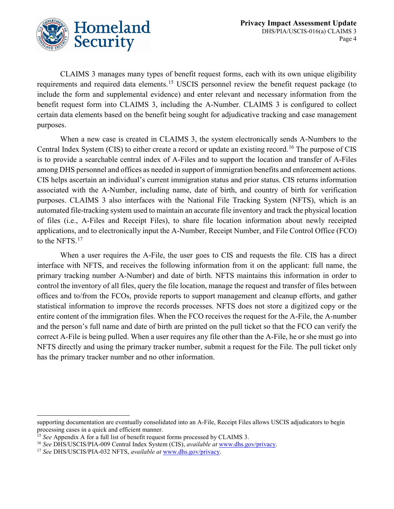

CLAIMS 3 manages many types of benefit request forms, each with its own unique eligibility requirements and required data elements.<sup>[15](#page-4-0)</sup> USCIS personnel review the benefit request package (to include the form and supplemental evidence) and enter relevant and necessary information from the benefit request form into CLAIMS 3, including the A-Number. CLAIMS 3 is configured to collect certain data elements based on the benefit being sought for adjudicative tracking and case management purposes.

When a new case is created in CLAIMS 3, the system electronically sends A-Numbers to the Central Index System (CIS) to either create a record or update an existing record.<sup>[16](#page-4-1)</sup> The purpose of CIS is to provide a searchable central index of A-Files and to support the location and transfer of A-Files among DHS personnel and offices as needed in support of immigration benefits and enforcement actions. CIS helps ascertain an individual's current immigration status and prior status. CIS returns information associated with the A-Number, including name, date of birth, and country of birth for verification purposes. CLAIMS 3 also interfaces with the National File Tracking System (NFTS), which is an automated file-tracking system used to maintain an accurate file inventory and track the physical location of files (i.e., A-Files and Receipt Files), to share file location information about newly receipted applications, and to electronically input the A-Number, Receipt Number, and File Control Office (FCO) to the NFTS.<sup>[17](#page-4-2)</sup>

When a user requires the A-File, the user goes to CIS and requests the file. CIS has a direct interface with NFTS, and receives the following information from it on the applicant: full name, the primary tracking number A-Number) and date of birth. NFTS maintains this information in order to control the inventory of all files, query the file location, manage the request and transfer of files between offices and to/from the FCOs, provide reports to support management and cleanup efforts, and gather statistical information to improve the records processes. NFTS does not store a digitized copy or the entire content of the immigration files. When the FCO receives the request for the A-File, the A-number and the person's full name and date of birth are printed on the pull ticket so that the FCO can verify the correct A-File is being pulled. When a user requires any file other than the A-File, he or she must go into NFTS directly and using the primary tracker number, submit a request for the File. The pull ticket only has the primary tracker number and no other information.

-

supporting documentation are eventually consolidated into an A-File, Receipt Files allows USCIS adjudicators to begin processing cases in a quick and efficient manner.

<span id="page-4-0"></span><sup>&</sup>lt;sup>15</sup> See Appendix A for a full list of benefit request forms processed by CLAIMS 3.

<span id="page-4-1"></span><sup>16</sup> *See* DHS/USCIS/PIA-009 Central Index System (CIS), *available at* [www.dhs.gov/privacy.](http://www.dhs.gov/privacy)

<span id="page-4-2"></span><sup>17</sup> *See* DHS/USCIS/PIA-032 NFTS, *available at* [www.dhs.gov/privacy.](http://www.dhs.gov/privacy)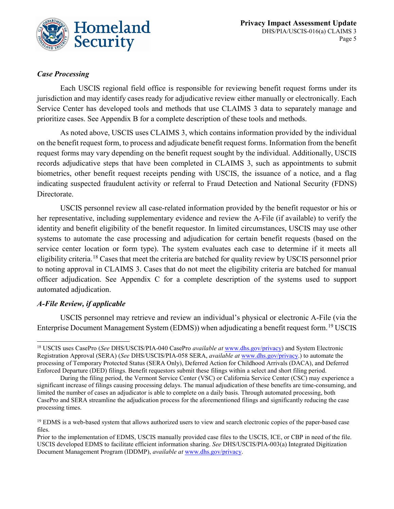

#### *Case Processing*

Each USCIS regional field office is responsible for reviewing benefit request forms under its jurisdiction and may identify cases ready for adjudicative review either manually or electronically. Each Service Center has developed tools and methods that use CLAIMS 3 data to separately manage and prioritize cases. See Appendix B for a complete description of these tools and methods.

As noted above, USCIS uses CLAIMS 3, which contains information provided by the individual on the benefit request form, to process and adjudicate benefit request forms. Information from the benefit request forms may vary depending on the benefit request sought by the individual. Additionally, USCIS records adjudicative steps that have been completed in CLAIMS 3, such as appointments to submit biometrics, other benefit request receipts pending with USCIS, the issuance of a notice, and a flag indicating suspected fraudulent activity or referral to Fraud Detection and National Security (FDNS) Directorate.

USCIS personnel review all case-related information provided by the benefit requestor or his or her representative, including supplementary evidence and review the A-File (if available) to verify the identity and benefit eligibility of the benefit requestor. In limited circumstances, USCIS may use other systems to automate the case processing and adjudication for certain benefit requests (based on the service center location or form type). The system evaluates each case to determine if it meets all eligibility criteria.[18](#page-5-0) Cases that meet the criteria are batched for quality review by USCIS personnel prior to noting approval in CLAIMS 3. Cases that do not meet the eligibility criteria are batched for manual officer adjudication. See Appendix C for a complete description of the systems used to support automated adjudication.

#### *A-File Review, if applicable*

USCIS personnel may retrieve and review an individual's physical or electronic A-File (via the Enterprise Document Management System (EDMS)) when adjudicating a benefit request form. <sup>[19](#page-5-1)</sup> USCIS

<span id="page-5-0"></span> <sup>18</sup> USCIS uses CasePro (*See* DHS/USCIS/PIA-040 CasePro *available at* [www.dhs.gov/privacy\)](http://www.dhs.gov/privacy) and System Electronic Registration Approval (SERA) (*See* DHS/USCIS/PIA-058 SERA, *available at* [www.dhs.gov/privacy.\)](http://www.dhs.gov/privacy) to automate the processing of Temporary Protected Status (SERA Only), Deferred Action for Childhood Arrivals (DACA), and Deferred Enforced Departure (DED) filings. Benefit requestors submit these filings within a select and short filing period.

During the filing period, the Vermont Service Center (VSC) or California Service Center (CSC) may experience a significant increase of filings causing processing delays. The manual adjudication of these benefits are time-consuming, and limited the number of cases an adjudicator is able to complete on a daily basis. Through automated processing, both CasePro and SERA streamline the adjudication process for the aforementioned filings and significantly reducing the case processing times.

<span id="page-5-1"></span><sup>&</sup>lt;sup>19</sup> EDMS is a web-based system that allows authorized users to view and search electronic copies of the paper-based case files.

Prior to the implementation of EDMS, USCIS manually provided case files to the USCIS, ICE, or CBP in need of the file. USCIS developed EDMS to facilitate efficient information sharing. *See* DHS/USCIS/PIA-003(a) Integrated Digitization Document Management Program (IDDMP), *available at* [www.dhs.gov/privacy.](http://www.dhs.gov/privacy)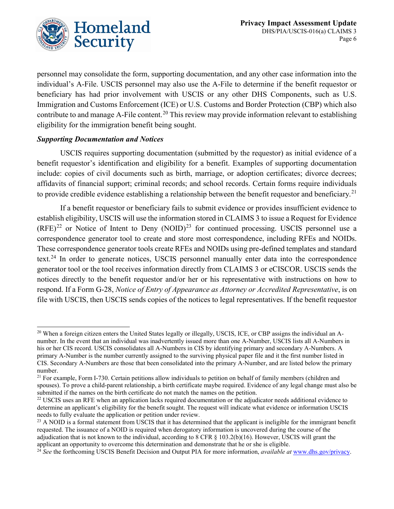

personnel may consolidate the form, supporting documentation, and any other case information into the individual's A-File. USCIS personnel may also use the A-File to determine if the benefit requestor or beneficiary has had prior involvement with USCIS or any other DHS Components, such as U.S. Immigration and Customs Enforcement (ICE) or U.S. Customs and Border Protection (CBP) which also contribute to and manage A-File content.<sup>[20](#page-6-0)</sup> This review may provide information relevant to establishing eligibility for the immigration benefit being sought.

#### *Supporting Documentation and Notices*

USCIS requires supporting documentation (submitted by the requestor) as initial evidence of a benefit requestor's identification and eligibility for a benefit. Examples of supporting documentation include: copies of civil documents such as birth, marriage, or adoption certificates; divorce decrees; affidavits of financial support; criminal records; and school records. Certain forms require individuals to provide credible evidence establishing a relationship between the benefit requestor and beneficiary.<sup>[21](#page-6-1)</sup>

If a benefit requestor or beneficiary fails to submit evidence or provides insufficient evidence to establish eligibility, USCIS will use the information stored in CLAIMS 3 to issue a Request for Evidence  $(RFE)^{22}$  $(RFE)^{22}$  $(RFE)^{22}$  or Notice of Intent to Deny  $(NOID)^{23}$  $(NOID)^{23}$  $(NOID)^{23}$  for continued processing. USCIS personnel use a correspondence generator tool to create and store most correspondence, including RFEs and NOIDs. These correspondence generator tools create RFEs and NOIDs using pre-defined templates and standard text.<sup>[24](#page-6-4)</sup> In order to generate notices, USCIS personnel manually enter data into the correspondence generator tool or the tool receives information directly from CLAIMS 3 or eCISCOR. USCIS sends the notices directly to the benefit requestor and/or her or his representative with instructions on how to respond. If a Form G-28, *Notice of Entry of Appearance as Attorney or Accredited Representative*, is on file with USCIS, then USCIS sends copies of the notices to legal representatives. If the benefit requestor

<span id="page-6-0"></span><sup>&</sup>lt;sup>20</sup> When a foreign citizen enters the United States legally or illegally, USCIS, ICE, or CBP assigns the individual an Anumber. In the event that an individual was inadvertently issued more than one A-Number, USCIS lists all A-Numbers in his or her CIS record. USCIS consolidates all A-Numbers in CIS by identifying primary and secondary A-Numbers. A primary A-Number is the number currently assigned to the surviving physical paper file and it the first number listed in CIS. Secondary A-Numbers are those that been consolidated into the primary A-Number, and are listed below the primary number.

<span id="page-6-1"></span> $21$  For example, Form I-730. Certain petitions allow individuals to petition on behalf of family members (children and spouses). To prove a child-parent relationship, a birth certificate maybe required. Evidence of any legal change must also be submitted if the names on the birth certificate do not match the names on the petition.

<span id="page-6-2"></span><sup>&</sup>lt;sup>22</sup> USCIS uses an RFE when an application lacks required documentation or the adjudicator needs additional evidence to determine an applicant's eligibility for the benefit sought. The request will indicate what evidence or information USCIS needs to fully evaluate the application or petition under review.

<span id="page-6-3"></span> $^{23}$  A NOID is a formal statement from USCIS that it has determined that the applicant is ineligible for the immigrant benefit requested. The issuance of a NOID is required when derogatory information is uncovered during the course of the adjudication that is not known to the individual, according to 8 CFR § 103.2(b)(16). However, USCIS will grant the applicant an opportunity to overcome this determination and demonstrate that he or she is eligible.

<span id="page-6-4"></span><sup>24</sup> *See* the forthcoming USCIS Benefit Decision and Output PIA for more information, *available at* [www.dhs.gov/privacy.](http://www.dhs.gov/privacy)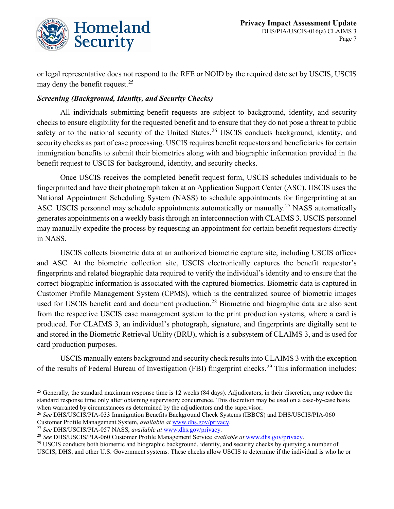

or legal representative does not respond to the RFE or NOID by the required date set by USCIS, USCIS may deny the benefit request. [25](#page-7-0)

#### *Screening (Background, Identity, and Security Checks)*

All individuals submitting benefit requests are subject to background, identity, and security checks to ensure eligibility for the requested benefit and to ensure that they do not pose a threat to public safety or to the national security of the United States.<sup>[26](#page-7-1)</sup> USCIS conducts background, identity, and security checks as part of case processing. USCIS requires benefit requestors and beneficiaries for certain immigration benefits to submit their biometrics along with and biographic information provided in the benefit request to USCIS for background, identity, and security checks.

Once USCIS receives the completed benefit request form, USCIS schedules individuals to be fingerprinted and have their photograph taken at an Application Support Center (ASC). USCIS uses the National Appointment Scheduling System (NASS) to schedule appointments for fingerprinting at an ASC. USCIS personnel may schedule appointments automatically or manually.<sup>[27](#page-7-2)</sup> NASS automatically generates appointments on a weekly basis through an interconnection with CLAIMS 3. USCIS personnel may manually expedite the process by requesting an appointment for certain benefit requestors directly in NASS.

USCIS collects biometric data at an authorized biometric capture site, including USCIS offices and ASC. At the biometric collection site, USCIS electronically captures the benefit requestor's fingerprints and related biographic data required to verify the individual's identity and to ensure that the correct biographic information is associated with the captured biometrics. Biometric data is captured in Customer Profile Management System (CPMS), which is the centralized source of biometric images used for USCIS benefit card and document production.<sup>[28](#page-7-3)</sup> Biometric and biographic data are also sent from the respective USCIS case management system to the print production systems, where a card is produced. For CLAIMS 3, an individual's photograph, signature, and fingerprints are digitally sent to and stored in the Biometric Retrieval Utility (BRU), which is a subsystem of CLAIMS 3, and is used for card production purposes.

USCIS manually enters background and security check results into CLAIMS 3 with the exception of the results of Federal Bureau of Investigation (FBI) fingerprint checks.<sup>[29](#page-7-4)</sup> This information includes:

<span id="page-7-0"></span> $25$  Generally, the standard maximum response time is 12 weeks (84 days). Adjudicators, in their discretion, may reduce the standard response time only after obtaining supervisory concurrence. This discretion may be used on a case-by-case basis when warranted by circumstances as determined by the adjudicators and the supervisor.

<span id="page-7-1"></span><sup>26</sup> *See* DHS/USCIS/PIA-033 Immigration Benefits Background Check Systems (IBBCS) and DHS/USCIS/PIA-060 Customer Profile Management System, *available at* [www.dhs.gov/privacy.](http://www.dhs.gov/privacy)

<span id="page-7-2"></span><sup>27</sup> *See* DHS/USCIS/PIA-057 NASS, *available at* [www.dhs.gov/privacy.](http://www.dhs.gov/privacy)

<span id="page-7-3"></span><sup>28</sup> *See* DHS/USCIS/PIA-060 Customer Profile Management Service *available at* [www.dhs.gov/privacy.](http://www.dhs.gov/privacy)

<span id="page-7-4"></span> $^{29}$  USCIS conducts both biometric and biographic background, identity, and security checks by querying a number of USCIS, DHS, and other U.S. Government systems. These checks allow USCIS to determine if the individual is who he or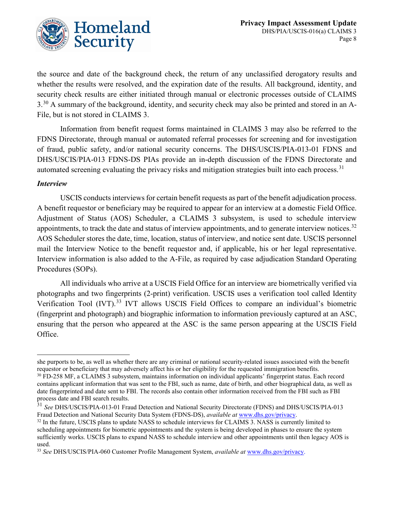the source and date of the background check, the return of any unclassified derogatory results and whether the results were resolved, and the expiration date of the results. All background, identity, and security check results are either initiated through manual or electronic processes outside of CLAIMS 3.<sup>[30](#page-8-0)</sup> A summary of the background, identity, and security check may also be printed and stored in an A-File, but is not stored in CLAIMS 3.

Information from benefit request forms maintained in CLAIMS 3 may also be referred to the FDNS Directorate, through manual or automated referral processes for screening and for investigation of fraud, public safety, and/or national security concerns. The DHS/USCIS/PIA-013-01 FDNS and DHS/USCIS/PIA-013 FDNS-DS PIAs provide an in-depth discussion of the FDNS Directorate and automated screening evaluating the privacy risks and mitigation strategies built into each process.<sup>[31](#page-8-1)</sup>

#### *Interview*

USCIS conducts interviews for certain benefit requests as part of the benefit adjudication process. A benefit requestor or beneficiary may be required to appear for an interview at a domestic Field Office. Adjustment of Status (AOS) Scheduler, a CLAIMS 3 subsystem, is used to schedule interview appointments, to track the date and status of interview appointments, and to generate interview notices.<sup>[32](#page-8-2)</sup> AOS Scheduler stores the date, time, location, status of interview, and notice sent date. USCIS personnel mail the Interview Notice to the benefit requestor and, if applicable, his or her legal representative. Interview information is also added to the A-File, as required by case adjudication Standard Operating Procedures (SOPs).

All individuals who arrive at a USCIS Field Office for an interview are biometrically verified via photographs and two fingerprints (2-print) verification. USCIS uses a verification tool called Identity Verification Tool (IVT).<sup>[33](#page-8-3)</sup> IVT allows USCIS Field Offices to compare an individual's biometric (fingerprint and photograph) and biographic information to information previously captured at an ASC, ensuring that the person who appeared at the ASC is the same person appearing at the USCIS Field Office.

l she purports to be, as well as whether there are any criminal or national security-related issues associated with the benefit requestor or beneficiary that may adversely affect his or her eligibility for the requested immigration benefits.

<span id="page-8-0"></span><sup>30</sup> FD-258 MF, a CLAIMS 3 subsystem, maintains information on individual applicants' fingerprint status. Each record contains applicant information that was sent to the FBI, such as name, date of birth, and other biographical data, as well as date fingerprinted and date sent to FBI. The records also contain other information received from the FBI such as FBI process date and FBI search results.

<span id="page-8-1"></span><sup>31</sup> *See* DHS/USCIS/PIA-013-01 Fraud Detection and National Security Directorate (FDNS) and DHS/USCIS/PIA-013 Fraud Detection and National Security Data System (FDNS-DS), *available at* [www.dhs.gov/privacy.](http://www.dhs.gov/privacy)

<span id="page-8-2"></span><sup>&</sup>lt;sup>32</sup> In the future, USCIS plans to update NASS to schedule interviews for CLAIMS 3. NASS is currently limited to scheduling appointments for biometric appointments and the system is being developed in phases to ensure the system sufficiently works. USCIS plans to expand NASS to schedule interview and other appointments until then legacy AOS is used.

<span id="page-8-3"></span><sup>33</sup> *See* DHS/USCIS/PIA-060 Customer Profile Management System, *available at* [www.dhs.gov/privacy.](http://www.dhs.gov/privacy)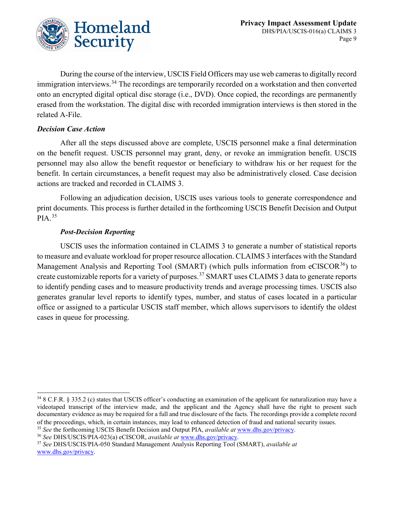

During the course of the interview, USCIS Field Officers may use web cameras to digitally record immigration interviews.<sup>[34](#page-9-0)</sup> The recordings are temporarily recorded on a workstation and then converted onto an encrypted digital optical disc storage (i.e., DVD). Once copied, the recordings are permanently erased from the workstation. The digital disc with recorded immigration interviews is then stored in the related A-File.

#### *Decision Case Action*

After all the steps discussed above are complete, USCIS personnel make a final determination on the benefit request. USCIS personnel may grant, deny, or revoke an immigration benefit. USCIS personnel may also allow the benefit requestor or beneficiary to withdraw his or her request for the benefit. In certain circumstances, a benefit request may also be administratively closed. Case decision actions are tracked and recorded in CLAIMS 3.

Following an adjudication decision, USCIS uses various tools to generate correspondence and print documents. This process is further detailed in the forthcoming USCIS Benefit Decision and Output PIA.[35](#page-9-1)

#### *Post-Decision Reporting*

USCIS uses the information contained in CLAIMS 3 to generate a number of statistical reports to measure and evaluate workload for proper resource allocation. CLAIMS 3 interfaces with the Standard Management Analysis and Reporting Tool (SMART) (which pulls information from  $eCISCOR<sup>36</sup>$ ) to create customizable reports for a variety of purposes.[37](#page-9-3) SMART uses CLAIMS 3 data to generate reports to identify pending cases and to measure productivity trends and average processing times. USCIS also generates granular level reports to identify types, number, and status of cases located in a particular office or assigned to a particular USCIS staff member, which allows supervisors to identify the oldest cases in queue for processing.

<span id="page-9-0"></span> <sup>34</sup> 8 C.F.R. § 335.2 (c) states that USCIS officer's conducting an examination of the applicant for naturalization may have a videotaped transcript of the interview made, and the applicant and the Agency shall have the right to present such documentary evidence as may be required for a full and true disclosure of the facts. The recordings provide a complete record of the proceedings, which, in certain instances, may lead to enhanced detection of fraud and national security issues.

<span id="page-9-1"></span><sup>35</sup> *See* the forthcoming USCIS Benefit Decision and Output PIA, *available at* [www.dhs.gov/privacy.](http://www.dhs.gov/privacy)

<span id="page-9-2"></span><sup>36</sup> *See* DHS/USCIS/PIA-023(a) eCISCOR, *available at* [www.dhs.gov/privacy.](http://www.dhs.gov/privacy)

<span id="page-9-3"></span><sup>37</sup> *See* DHS/USCIS/PIA-050 Standard Management Analysis Reporting Tool (SMART), *available at* [www.dhs.gov/privacy.](http://www.dhs.gov/privacy)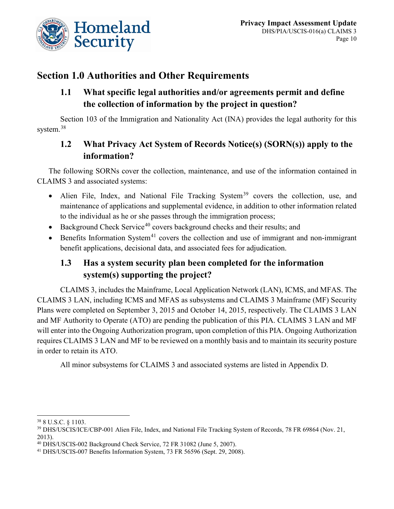

# **Section 1.0 Authorities and Other Requirements**

### **1.1 What specific legal authorities and/or agreements permit and define the collection of information by the project in question?**

Section 103 of the Immigration and Nationality Act (INA) provides the legal authority for this system. [38](#page-10-0)

## **1.2 What Privacy Act System of Records Notice(s) (SORN(s)) apply to the information?**

The following SORNs cover the collection, maintenance, and use of the information contained in CLAIMS 3 and associated systems:

- Alien File, Index, and National File Tracking System<sup>[39](#page-10-1)</sup> covers the collection, use, and maintenance of applications and supplemental evidence, in addition to other information related to the individual as he or she passes through the immigration process;
- Background Check Service<sup>[40](#page-10-2)</sup> covers background checks and their results; and
- Benefits Information System<sup>[41](#page-10-3)</sup> covers the collection and use of immigrant and non-immigrant benefit applications, decisional data, and associated fees for adjudication.

# **1.3 Has a system security plan been completed for the information system(s) supporting the project?**

CLAIMS 3, includes the Mainframe, Local Application Network (LAN), ICMS, and MFAS. The CLAIMS 3 LAN, including ICMS and MFAS as subsystems and CLAIMS 3 Mainframe (MF) Security Plans were completed on September 3, 2015 and October 14, 2015, respectively. The CLAIMS 3 LAN and MF Authority to Operate (ATO) are pending the publication of this PIA. CLAIMS 3 LAN and MF will enter into the Ongoing Authorization program, upon completion of this PIA. Ongoing Authorization requires CLAIMS 3 LAN and MF to be reviewed on a monthly basis and to maintain its security posture in order to retain its ATO.

All minor subsystems for CLAIMS 3 and associated systems are listed in Appendix D.

<span id="page-10-0"></span> <sup>38</sup> 8 U.S.C. § 1103.

<span id="page-10-1"></span><sup>39</sup> DHS/USCIS/ICE/CBP-001 Alien File, Index, and National File Tracking System of Records, 78 FR 69864 (Nov. 21, 2013).

<span id="page-10-2"></span><sup>40</sup> DHS/USCIS-002 Background Check Service, 72 FR 31082 (June 5, 2007).

<span id="page-10-3"></span><sup>41</sup> DHS/USCIS-007 Benefits Information System, 73 FR 56596 (Sept. 29, 2008).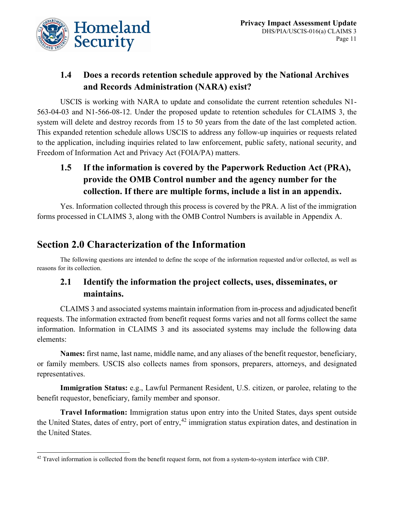

### **1.4 Does a records retention schedule approved by the National Archives and Records Administration (NARA) exist?**

USCIS is working with NARA to update and consolidate the current retention schedules N1- 563-04-03 and N1-566-08-12. Under the proposed update to retention schedules for CLAIMS 3, the system will delete and destroy records from 15 to 50 years from the date of the last completed action. This expanded retention schedule allows USCIS to address any follow-up inquiries or requests related to the application, including inquiries related to law enforcement, public safety, national security, and Freedom of Information Act and Privacy Act (FOIA/PA) matters.

# **1.5 If the information is covered by the Paperwork Reduction Act (PRA), provide the OMB Control number and the agency number for the collection. If there are multiple forms, include a list in an appendix.**

Yes. Information collected through this process is covered by the PRA. A list of the immigration forms processed in CLAIMS 3, along with the OMB Control Numbers is available in Appendix A.

# **Section 2.0 Characterization of the Information**

The following questions are intended to define the scope of the information requested and/or collected, as well as reasons for its collection.

### **2.1 Identify the information the project collects, uses, disseminates, or maintains.**

CLAIMS 3 and associated systems maintain information from in-process and adjudicated benefit requests. The information extracted from benefit request forms varies and not all forms collect the same information. Information in CLAIMS 3 and its associated systems may include the following data elements:

**Names:** first name, last name, middle name, and any aliases of the benefit requestor, beneficiary, or family members. USCIS also collects names from sponsors, preparers, attorneys, and designated representatives.

**Immigration Status:** e.g., Lawful Permanent Resident, U.S. citizen, or parolee, relating to the benefit requestor, beneficiary, family member and sponsor.

**Travel Information:** Immigration status upon entry into the United States, days spent outside the United States, dates of entry, port of entry,<sup>[42](#page-11-0)</sup> immigration status expiration dates, and destination in the United States.

<span id="page-11-0"></span> $42$  Travel information is collected from the benefit request form, not from a system-to-system interface with CBP.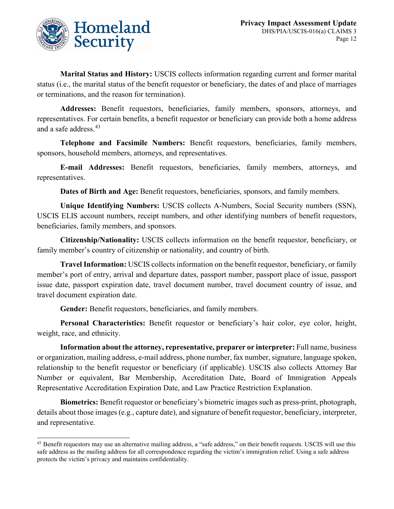

**Marital Status and History:** USCIS collects information regarding current and former marital status (i.e., the marital status of the benefit requestor or beneficiary, the dates of and place of marriages or terminations, and the reason for termination).

**Addresses:** Benefit requestors, beneficiaries, family members, sponsors, attorneys, and representatives. For certain benefits, a benefit requestor or beneficiary can provide both a home address and a safe address.<sup>[43](#page-12-0)</sup>

**Telephone and Facsimile Numbers:** Benefit requestors, beneficiaries, family members, sponsors, household members, attorneys, and representatives.

**E-mail Addresses:** Benefit requestors, beneficiaries, family members, attorneys, and representatives.

**Dates of Birth and Age:** Benefit requestors, beneficiaries, sponsors, and family members.

**Unique Identifying Numbers:** USCIS collects A-Numbers, Social Security numbers (SSN), USCIS ELIS account numbers, receipt numbers, and other identifying numbers of benefit requestors, beneficiaries, family members, and sponsors.

**Citizenship/Nationality:** USCIS collects information on the benefit requestor, beneficiary, or family member's country of citizenship or nationality, and country of birth.

**Travel Information:** USCIS collects information on the benefit requestor, beneficiary, or family member's port of entry, arrival and departure dates, passport number, passport place of issue, passport issue date, passport expiration date, travel document number, travel document country of issue, and travel document expiration date.

**Gender:** Benefit requestors, beneficiaries, and family members.

**Personal Characteristics:** Benefit requestor or beneficiary's hair color, eye color, height, weight, race, and ethnicity.

**Information about the attorney, representative, preparer or interpreter:** Full name, business or organization, mailing address, e-mail address, phone number, fax number, signature, language spoken, relationship to the benefit requestor or beneficiary (if applicable). USCIS also collects Attorney Bar Number or equivalent, Bar Membership, Accreditation Date, Board of Immigration Appeals Representative Accreditation Expiration Date, and Law Practice Restriction Explanation.

**Biometrics:** Benefit requestor or beneficiary's biometric images such as press-print, photograph, details about those images (e.g., capture date), and signature of benefit requestor, beneficiary, interpreter, and representative.

<span id="page-12-0"></span><sup>&</sup>lt;sup>43</sup> Benefit requestors may use an alternative mailing address, a "safe address," on their benefit requests. USCIS will use this safe address as the mailing address for all correspondence regarding the victim's immigration relief. Using a safe address protects the victim's privacy and maintains confidentiality.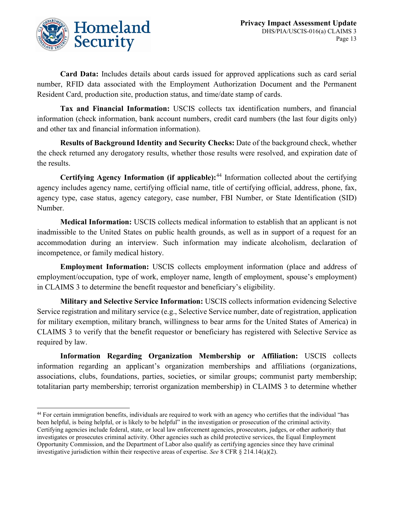

**Card Data:** Includes details about cards issued for approved applications such as card serial number, RFID data associated with the Employment Authorization Document and the Permanent Resident Card, production site, production status, and time/date stamp of cards.

**Tax and Financial Information:** USCIS collects tax identification numbers, and financial information (check information, bank account numbers, credit card numbers (the last four digits only) and other tax and financial information information).

**Results of Background Identity and Security Checks:** Date of the background check, whether the check returned any derogatory results, whether those results were resolved, and expiration date of the results.

**Certifying Agency Information (if applicable):**[44](#page-13-0) Information collected about the certifying agency includes agency name, certifying official name, title of certifying official, address, phone, fax, agency type, case status, agency category, case number, FBI Number, or State Identification (SID) Number.

**Medical Information:** USCIS collects medical information to establish that an applicant is not inadmissible to the United States on public health grounds, as well as in support of a request for an accommodation during an interview. Such information may indicate alcoholism, declaration of incompetence, or family medical history.

**Employment Information:** USCIS collects employment information (place and address of employment/occupation, type of work, employer name, length of employment, spouse's employment) in CLAIMS 3 to determine the benefit requestor and beneficiary's eligibility.

**Military and Selective Service Information:** USCIS collects information evidencing Selective Service registration and military service (e.g., Selective Service number, date of registration, application for military exemption, military branch, willingness to bear arms for the United States of America) in CLAIMS 3 to verify that the benefit requestor or beneficiary has registered with Selective Service as required by law.

**Information Regarding Organization Membership or Affiliation:** USCIS collects information regarding an applicant's organization memberships and affiliations (organizations, associations, clubs, foundations, parties, societies, or similar groups; communist party membership; totalitarian party membership; terrorist organization membership) in CLAIMS 3 to determine whether

<span id="page-13-0"></span> <sup>44</sup> For certain immigration benefits, individuals are required to work with an agency who certifies that the individual "has been helpful, is being helpful, or is likely to be helpful" in the investigation or prosecution of the criminal activity. Certifying agencies include federal, state, or local law enforcement agencies, prosecutors, judges, or other authority that investigates or prosecutes criminal activity. Other agencies such as child protective services, the Equal Employment Opportunity Commission, and the Department of Labor also qualify as certifying agencies since they have criminal investigative jurisdiction within their respective areas of expertise. *See* 8 CFR § 214.14(a)(2).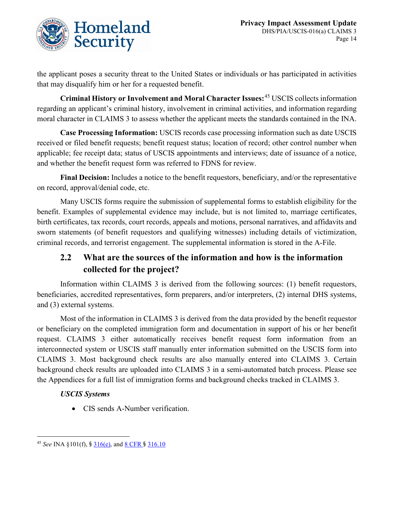

the applicant poses a security threat to the United States or individuals or has participated in activities that may disqualify him or her for a requested benefit.

**Criminal History or Involvement and Moral Character Issues:**[45](#page-14-0) USCIS collects information regarding an applicant's criminal history, involvement in criminal activities, and information regarding moral character in CLAIMS 3 to assess whether the applicant meets the standards contained in the INA.

**Case Processing Information:** USCIS records case processing information such as date USCIS received or filed benefit requests; benefit request status; location of record; other control number when applicable; fee receipt data; status of USCIS appointments and interviews; date of issuance of a notice, and whether the benefit request form was referred to FDNS for review.

**Final Decision:** Includes a notice to the benefit requestors, beneficiary, and/or the representative on record, approval/denial code, etc.

Many USCIS forms require the submission of supplemental forms to establish eligibility for the benefit. Examples of supplemental evidence may include, but is not limited to, marriage certificates, birth certificates, tax records, court records, appeals and motions, personal narratives, and affidavits and sworn statements (of benefit requestors and qualifying witnesses) including details of victimization, criminal records, and terrorist engagement. The supplemental information is stored in the A-File.

# **2.2 What are the sources of the information and how is the information collected for the project?**

Information within CLAIMS 3 is derived from the following sources: (1) benefit requestors, beneficiaries, accredited representatives, form preparers, and/or interpreters, (2) internal DHS systems, and (3) external systems.

Most of the information in CLAIMS 3 is derived from the data provided by the benefit requestor or beneficiary on the completed immigration form and documentation in support of his or her benefit request. CLAIMS 3 either automatically receives benefit request form information from an interconnected system or USCIS staff manually enter information submitted on the USCIS form into CLAIMS 3. Most background check results are also manually entered into CLAIMS 3. Certain background check results are uploaded into CLAIMS 3 in a semi-automated batch process. Please see the Appendices for a full list of immigration forms and background checks tracked in CLAIMS 3.

#### *USCIS Systems*

• CIS sends A-Number verification.

<span id="page-14-0"></span> <sup>45</sup> *See* INA §101(f), § [316\(e\),](http://www.uscis.gov/ilink/docView/SLB/HTML/SLB/0-0-0-1/0-0-0-29/0-0-0-9898.html) and [8 CFR](http://www.uscis.gov/ilink/docView/SLB/HTML/SLB/0-0-0-1/0-0-0-11261/0-0-0-30960/0-0-0-31086.html) § 316.10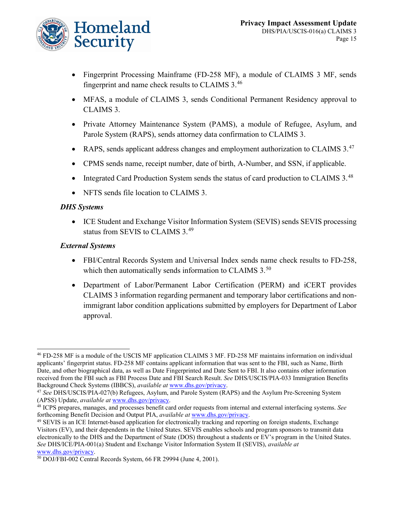

- Fingerprint Processing Mainframe (FD-258 MF), a module of CLAIMS 3 MF, sends fingerprint and name check results to CLAIMS 3.[46](#page-15-0)
- MFAS, a module of CLAIMS 3, sends Conditional Permanent Residency approval to CLAIMS 3.
- Private Attorney Maintenance System (PAMS), a module of Refugee, Asylum, and Parole System (RAPS), sends attorney data confirmation to CLAIMS 3.
- RAPS, sends applicant address changes and employment authorization to CLAIMS 3.<sup>[47](#page-15-1)</sup>
- CPMS sends name, receipt number, date of birth, A-Number, and SSN, if applicable.
- Integrated Card Production System sends the status of card production to CLAIMS 3.<sup>[48](#page-15-2)</sup>
- NFTS sends file location to CLAIMS 3.

#### *DHS Systems*

• ICE Student and Exchange Visitor Information System (SEVIS) sends SEVIS processing status from SEVIS to CLAIMS 3.[49](#page-15-3)

#### *External Systems*

- FBI/Central Records System and Universal Index sends name check results to FD-258, which then automatically sends information to CLAIMS 3.<sup>[50](#page-15-4)</sup>
- Department of Labor/Permanent Labor Certification (PERM) and iCERT provides CLAIMS 3 information regarding permanent and temporary labor certifications and nonimmigrant labor condition applications submitted by employers for Department of Labor approval.

<span id="page-15-0"></span> <sup>46</sup> FD-258 MF is a module of the USCIS MF application CLAIMS 3 MF. FD-258 MF maintains information on individual applicants' fingerprint status. FD-258 MF contains applicant information that was sent to the FBI, such as Name, Birth Date, and other biographical data, as well as Date Fingerprinted and Date Sent to FBI. It also contains other information received from the FBI such as FBI Process Date and FBI Search Result. *See* DHS/USCIS/PIA-033 Immigration Benefits Background Check Systems (IBBCS), *available at* [www.dhs.gov/privacy.](http://www.dhs.gov/privacy)

<span id="page-15-1"></span><sup>47</sup> *See* DHS/USCIS/PIA-027(b) Refugees, Asylum, and Parole System (RAPS) and the Asylum Pre-Screening System (APSS) Update, *available at* [www.dhs.gov/privacy.](http://www.dhs.gov/privacy)

<span id="page-15-2"></span><sup>48</sup> ICPS prepares, manages, and processes benefit card order requests from internal and external interfacing systems. *See* forthcoming Benefit Decision and Output PIA, *available at* [www.dhs.gov/privacy.](http://www.dhs.gov/privacy)

<span id="page-15-3"></span><sup>49</sup> SEVIS is an ICE Internet-based application for electronically tracking and reporting on foreign students, Exchange Visitors (EV), and their dependents in the United States. SEVIS enables schools and program sponsors to transmit data electronically to the DHS and the Department of State (DOS) throughout a students or EV's program in the United States. *See* DHS/ICE/PIA-001(a) Student and Exchange Visitor Information System II (SEVIS), *available at* [www.dhs.gov/privacy.](http://www.dhs.gov/privacy)

<span id="page-15-4"></span><sup>50</sup> DOJ/FBI-002 Central Records System, 66 FR 29994 (June 4, 2001).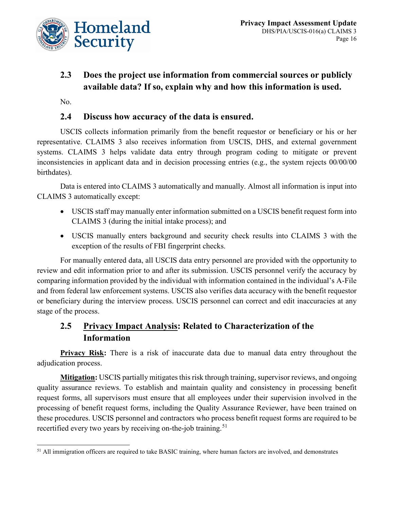

# **2.3 Does the project use information from commercial sources or publicly available data? If so, explain why and how this information is used.**

No.

### **2.4 Discuss how accuracy of the data is ensured.**

USCIS collects information primarily from the benefit requestor or beneficiary or his or her representative. CLAIMS 3 also receives information from USCIS, DHS, and external government systems. CLAIMS 3 helps validate data entry through program coding to mitigate or prevent inconsistencies in applicant data and in decision processing entries (e.g., the system rejects 00/00/00 birthdates).

Data is entered into CLAIMS 3 automatically and manually. Almost all information is input into CLAIMS 3 automatically except:

- USCIS staff may manually enter information submitted on a USCIS benefit request form into CLAIMS 3 (during the initial intake process); and
- USCIS manually enters background and security check results into CLAIMS 3 with the exception of the results of FBI fingerprint checks.

For manually entered data, all USCIS data entry personnel are provided with the opportunity to review and edit information prior to and after its submission. USCIS personnel verify the accuracy by comparing information provided by the individual with information contained in the individual's A-File and from federal law enforcement systems. USCIS also verifies data accuracy with the benefit requestor or beneficiary during the interview process. USCIS personnel can correct and edit inaccuracies at any stage of the process.

### **2.5 Privacy Impact Analysis: Related to Characterization of the Information**

**Privacy Risk:** There is a risk of inaccurate data due to manual data entry throughout the adjudication process.

**Mitigation:** USCIS partially mitigates this risk through training, supervisor reviews, and ongoing quality assurance reviews. To establish and maintain quality and consistency in processing benefit request forms, all supervisors must ensure that all employees under their supervision involved in the processing of benefit request forms, including the Quality Assurance Reviewer, have been trained on these procedures. USCIS personnel and contractors who process benefit request forms are required to be recertified every two years by receiving on-the-job training.<sup>[51](#page-16-0)</sup>

<span id="page-16-0"></span><sup>&</sup>lt;sup>51</sup> All immigration officers are required to take BASIC training, where human factors are involved, and demonstrates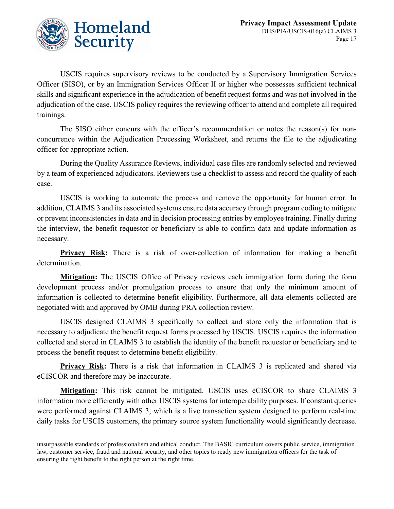

USCIS requires supervisory reviews to be conducted by a Supervisory Immigration Services Officer (SISO), or by an Immigration Services Officer II or higher who possesses sufficient technical skills and significant experience in the adjudication of benefit request forms and was not involved in the adjudication of the case. USCIS policy requires the reviewing officer to attend and complete all required trainings.

The SISO either concurs with the officer's recommendation or notes the reason(s) for nonconcurrence within the Adjudication Processing Worksheet, and returns the file to the adjudicating officer for appropriate action.

During the Quality Assurance Reviews, individual case files are randomly selected and reviewed by a team of experienced adjudicators. Reviewers use a checklist to assess and record the quality of each case.

USCIS is working to automate the process and remove the opportunity for human error. In addition, CLAIMS 3 and its associated systems ensure data accuracy through program coding to mitigate or prevent inconsistencies in data and in decision processing entries by employee training. Finally during the interview, the benefit requestor or beneficiary is able to confirm data and update information as necessary.

**Privacy Risk:** There is a risk of over-collection of information for making a benefit determination.

**Mitigation:** The USCIS Office of Privacy reviews each immigration form during the form development process and/or promulgation process to ensure that only the minimum amount of information is collected to determine benefit eligibility. Furthermore, all data elements collected are negotiated with and approved by OMB during PRA collection review.

USCIS designed CLAIMS 3 specifically to collect and store only the information that is necessary to adjudicate the benefit request forms processed by USCIS. USCIS requires the information collected and stored in CLAIMS 3 to establish the identity of the benefit requestor or beneficiary and to process the benefit request to determine benefit eligibility.

**Privacy Risk:** There is a risk that information in CLAIMS 3 is replicated and shared via eCISCOR and therefore may be inaccurate.

**Mitigation:** This risk cannot be mitigated. USCIS uses eCISCOR to share CLAIMS 3 information more efficiently with other USCIS systems for interoperability purposes. If constant queries were performed against CLAIMS 3, which is a live transaction system designed to perform real-time daily tasks for USCIS customers, the primary source system functionality would significantly decrease.

unsurpassable standards of professionalism and ethical conduct. The BASIC curriculum covers public service, immigration law, customer service, fraud and national security, and other topics to ready new immigration officers for the task of ensuring the right benefit to the right person at the right time.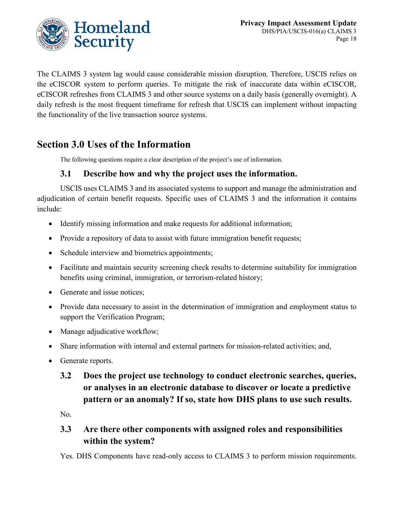

The CLAIMS 3 system lag would cause considerable mission disruption. Therefore, USCIS relies on the eCISCOR system to perform queries. To mitigate the risk of inaccurate data within eCISCOR, eCISCOR refreshes from CLAIMS 3 and other source systems on a daily basis (generally overnight). A daily refresh is the most frequent timeframe for refresh that USCIS can implement without impacting the functionality of the live transaction source systems.

# **Section 3.0 Uses of the Information**

The following questions require a clear description of the project's use of information.

### **3.1 Describe how and why the project uses the information.**

USCIS uses CLAIMS 3 and its associated systems to support and manage the administration and adjudication of certain benefit requests. Specific uses of CLAIMS 3 and the information it contains include:

- Identify missing information and make requests for additional information;
- Provide a repository of data to assist with future immigration benefit requests;
- Schedule interview and biometrics appointments;
- Facilitate and maintain security screening check results to determine suitability for immigration benefits using criminal, immigration, or terrorism-related history;
- Generate and issue notices;
- Provide data necessary to assist in the determination of immigration and employment status to support the Verification Program;
- Manage adjudicative workflow;
- Share information with internal and external partners for mission-related activities; and,
- Generate reports.

# **3.2 Does the project use technology to conduct electronic searches, queries, or analyses in an electronic database to discover or locate a predictive pattern or an anomaly? If so, state how DHS plans to use such results.**

No.

### **3.3 Are there other components with assigned roles and responsibilities within the system?**

Yes. DHS Components have read-only access to CLAIMS 3 to perform mission requirements.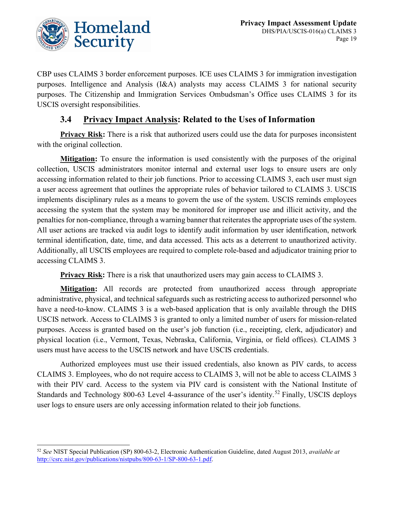

CBP uses CLAIMS 3 border enforcement purposes. ICE uses CLAIMS 3 for immigration investigation purposes. Intelligence and Analysis (I&A) analysts may access CLAIMS 3 for national security purposes. The Citizenship and Immigration Services Ombudsman's Office uses CLAIMS 3 for its USCIS oversight responsibilities.

### **3.4 Privacy Impact Analysis: Related to the Uses of Information**

**Privacy Risk:** There is a risk that authorized users could use the data for purposes inconsistent with the original collection.

**Mitigation:** To ensure the information is used consistently with the purposes of the original collection, USCIS administrators monitor internal and external user logs to ensure users are only accessing information related to their job functions. Prior to accessing CLAIMS 3, each user must sign a user access agreement that outlines the appropriate rules of behavior tailored to CLAIMS 3. USCIS implements disciplinary rules as a means to govern the use of the system. USCIS reminds employees accessing the system that the system may be monitored for improper use and illicit activity, and the penalties for non-compliance, through a warning banner that reiterates the appropriate uses of the system. All user actions are tracked via audit logs to identify audit information by user identification, network terminal identification, date, time, and data accessed. This acts as a deterrent to unauthorized activity. Additionally, all USCIS employees are required to complete role-based and adjudicator training prior to accessing CLAIMS 3.

**Privacy Risk:** There is a risk that unauthorized users may gain access to CLAIMS 3.

**Mitigation:** All records are protected from unauthorized access through appropriate administrative, physical, and technical safeguards such as restricting access to authorized personnel who have a need-to-know. CLAIMS 3 is a web-based application that is only available through the DHS USCIS network. Access to CLAIMS 3 is granted to only a limited number of users for mission-related purposes. Access is granted based on the user's job function (i.e., receipting, clerk, adjudicator) and physical location (i.e., Vermont, Texas, Nebraska, California, Virginia, or field offices). CLAIMS 3 users must have access to the USCIS network and have USCIS credentials.

Authorized employees must use their issued credentials, also known as PIV cards, to access CLAIMS 3. Employees, who do not require access to CLAIMS 3, will not be able to access CLAIMS 3 with their PIV card. Access to the system via PIV card is consistent with the National Institute of Standards and Technology 800-63 Level 4-assurance of the user's identity.<sup>[52](#page-19-0)</sup> Finally, USCIS deploys user logs to ensure users are only accessing information related to their job functions.

<span id="page-19-0"></span> <sup>52</sup> *See* NIST Special Publication (SP) 800-63-2, Electronic Authentication Guideline, dated August 2013, *available at*  [http://csrc.nist.gov/publications/nistpubs/800-63-1/SP-800-63-1.pdf.](http://csrc.nist.gov/publications/nistpubs/800-63-1/SP-800-63-1.pdf)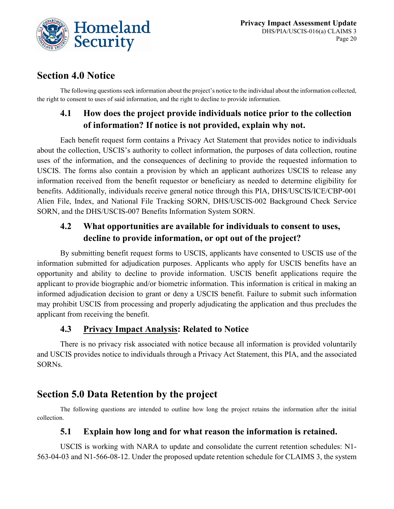

# **Section 4.0 Notice**

The following questions seek information about the project's notice to the individual about the information collected, the right to consent to uses of said information, and the right to decline to provide information.

# **4.1 How does the project provide individuals notice prior to the collection of information? If notice is not provided, explain why not.**

Each benefit request form contains a Privacy Act Statement that provides notice to individuals about the collection, USCIS's authority to collect information, the purposes of data collection, routine uses of the information, and the consequences of declining to provide the requested information to USCIS. The forms also contain a provision by which an applicant authorizes USCIS to release any information received from the benefit requestor or beneficiary as needed to determine eligibility for benefits. Additionally, individuals receive general notice through this PIA, DHS/USCIS/ICE/CBP-001 Alien File, Index, and National File Tracking SORN, DHS/USCIS-002 Background Check Service SORN, and the DHS/USCIS-007 Benefits Information System SORN.

### **4.2 What opportunities are available for individuals to consent to uses, decline to provide information, or opt out of the project?**

By submitting benefit request forms to USCIS, applicants have consented to USCIS use of the information submitted for adjudication purposes. Applicants who apply for USCIS benefits have an opportunity and ability to decline to provide information. USCIS benefit applications require the applicant to provide biographic and/or biometric information. This information is critical in making an informed adjudication decision to grant or deny a USCIS benefit. Failure to submit such information may prohibit USCIS from processing and properly adjudicating the application and thus precludes the applicant from receiving the benefit.

### **4.3 Privacy Impact Analysis: Related to Notice**

There is no privacy risk associated with notice because all information is provided voluntarily and USCIS provides notice to individuals through a Privacy Act Statement, this PIA, and the associated SORNs.

# **Section 5.0 Data Retention by the project**

The following questions are intended to outline how long the project retains the information after the initial collection.

### **5.1 Explain how long and for what reason the information is retained.**

USCIS is working with NARA to update and consolidate the current retention schedules: N1- 563-04-03 and N1-566-08-12. Under the proposed update retention schedule for CLAIMS 3, the system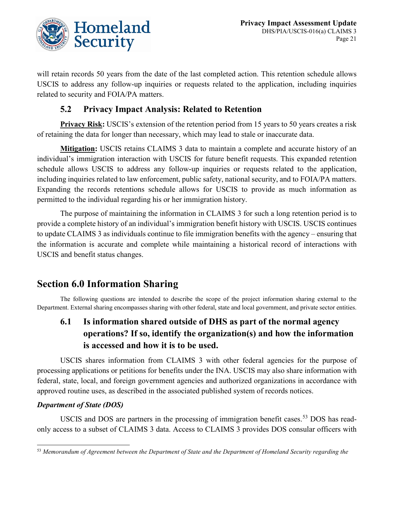

will retain records 50 years from the date of the last completed action. This retention schedule allows USCIS to address any follow-up inquiries or requests related to the application, including inquiries related to security and FOIA/PA matters.

### **5.2 Privacy Impact Analysis: Related to Retention**

**Privacy Risk:** USCIS's extension of the retention period from 15 years to 50 years creates a risk of retaining the data for longer than necessary, which may lead to stale or inaccurate data.

**Mitigation:** USCIS retains CLAIMS 3 data to maintain a complete and accurate history of an individual's immigration interaction with USCIS for future benefit requests. This expanded retention schedule allows USCIS to address any follow-up inquiries or requests related to the application, including inquiries related to law enforcement, public safety, national security, and to FOIA/PA matters. Expanding the records retentions schedule allows for USCIS to provide as much information as permitted to the individual regarding his or her immigration history.

The purpose of maintaining the information in CLAIMS 3 for such a long retention period is to provide a complete history of an individual's immigration benefit history with USCIS. USCIS continues to update CLAIMS 3 as individuals continue to file immigration benefits with the agency – ensuring that the information is accurate and complete while maintaining a historical record of interactions with USCIS and benefit status changes.

# **Section 6.0 Information Sharing**

The following questions are intended to describe the scope of the project information sharing external to the Department. External sharing encompasses sharing with other federal, state and local government, and private sector entities.

# **6.1 Is information shared outside of DHS as part of the normal agency operations? If so, identify the organization(s) and how the information is accessed and how it is to be used.**

USCIS shares information from CLAIMS 3 with other federal agencies for the purpose of processing applications or petitions for benefits under the INA. USCIS may also share information with federal, state, local, and foreign government agencies and authorized organizations in accordance with approved routine uses, as described in the associated published system of records notices.

#### *Department of State (DOS)*

USCIS and DOS are partners in the processing of immigration benefit cases.<sup>[53](#page-21-0)</sup> DOS has readonly access to a subset of CLAIMS 3 data. Access to CLAIMS 3 provides DOS consular officers with

<span id="page-21-0"></span> <sup>53</sup> *Memorandum of Agreement between the Department of State and the Department of Homeland Security regarding the*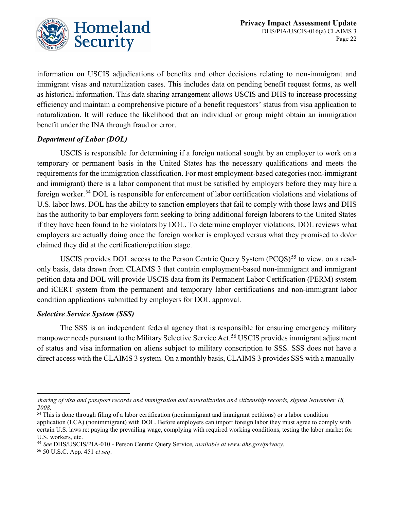

information on USCIS adjudications of benefits and other decisions relating to non-immigrant and immigrant visas and naturalization cases. This includes data on pending benefit request forms, as well as historical information. This data sharing arrangement allows USCIS and DHS to increase processing efficiency and maintain a comprehensive picture of a benefit requestors' status from visa application to naturalization. It will reduce the likelihood that an individual or group might obtain an immigration benefit under the INA through fraud or error.

#### *Department of Labor (DOL)*

USCIS is responsible for determining if a foreign national sought by an employer to work on a temporary or permanent basis in the United States has the necessary qualifications and meets the requirements for the immigration classification. For most employment-based categories (non-immigrant and immigrant) there is a labor component that must be satisfied by employers before they may hire a foreign worker.[54](#page-22-0) DOL is responsible for enforcement of labor certification violations and violations of U.S. labor laws. DOL has the ability to sanction employers that fail to comply with those laws and DHS has the authority to bar employers form seeking to bring additional foreign laborers to the United States if they have been found to be violators by DOL. To determine employer violations, DOL reviews what employers are actually doing once the foreign worker is employed versus what they promised to do/or claimed they did at the certification/petition stage.

USCIS provides DOL access to the Person Centric Query System (PCQS)<sup>[55](#page-22-1)</sup> to view, on a readonly basis, data drawn from CLAIMS 3 that contain employment-based non-immigrant and immigrant petition data and DOL will provide USCIS data from its Permanent Labor Certification (PERM) system and iCERT system from the permanent and temporary labor certifications and non-immigrant labor condition applications submitted by employers for DOL approval.

#### *Selective Service System (SSS)*

The SSS is an independent federal agency that is responsible for ensuring emergency military manpower needs pursuant to the Military Selective Service Act.<sup>[56](#page-22-2)</sup> USCIS provides immigrant adjustment of status and visa information on aliens subject to military conscription to SSS. SSS does not have a direct access with the CLAIMS 3 system. On a monthly basis, CLAIMS 3 provides SSS with a manually-

<span id="page-22-2"></span><sup>56</sup> 50 U.S.C. App. 451 *et seq*.

*sharing of visa and passport records and immigration and naturalization and citizenship records, signed November 18, 2008.*

<span id="page-22-0"></span> $54$  This is done through filing of a labor certification (nonimmigrant and immigrant petitions) or a labor condition application (LCA) (nonimmigrant) with DOL. Before employers can import foreign labor they must agree to comply with certain U.S. laws re: paying the prevailing wage, complying with required working conditions, testing the labor market for U.S. workers, etc.

<span id="page-22-1"></span><sup>55</sup> *See* DHS/USCIS/PIA-010 - Person Centric Query Service*, available at www.dhs.gov/privacy.*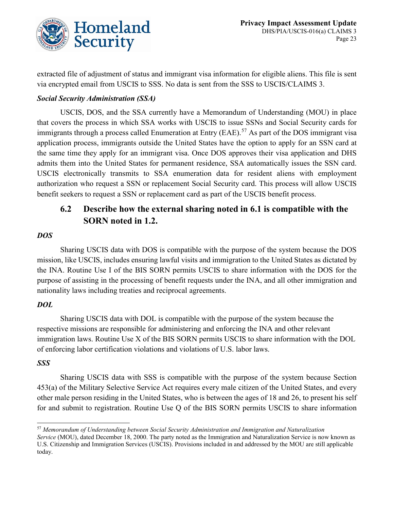

extracted file of adjustment of status and immigrant visa information for eligible aliens. This file is sent via encrypted email from USCIS to SSS. No data is sent from the SSS to USCIS/CLAIMS 3.

#### *Social Security Administration (SSA)*

USCIS, DOS, and the SSA currently have a Memorandum of Understanding (MOU) in place that covers the process in which SSA works with USCIS to issue SSNs and Social Security cards for immigrants through a process called Enumeration at Entry  $(BAE)$ .<sup>[57](#page-23-0)</sup> As part of the DOS immigrant visa application process, immigrants outside the United States have the option to apply for an SSN card at the same time they apply for an immigrant visa. Once DOS approves their visa application and DHS admits them into the United States for permanent residence, SSA automatically issues the SSN card. USCIS electronically transmits to SSA enumeration data for resident aliens with employment authorization who request a SSN or replacement Social Security card. This process will allow USCIS benefit seekers to request a SSN or replacement card as part of the USCIS benefit process.

### **6.2 Describe how the external sharing noted in 6.1 is compatible with the SORN noted in 1.2.**

#### *DOS*

Sharing USCIS data with DOS is compatible with the purpose of the system because the DOS mission, like USCIS, includes ensuring lawful visits and immigration to the United States as dictated by the INA. Routine Use I of the BIS SORN permits USCIS to share information with the DOS for the purpose of assisting in the processing of benefit requests under the INA, and all other immigration and nationality laws including treaties and reciprocal agreements.

#### *DOL*

Sharing USCIS data with DOL is compatible with the purpose of the system because the respective missions are responsible for administering and enforcing the INA and other relevant immigration laws. Routine Use X of the BIS SORN permits USCIS to share information with the DOL of enforcing labor certification violations and violations of U.S. labor laws.

#### *SSS*

Sharing USCIS data with SSS is compatible with the purpose of the system because Section 453(a) of the Military Selective Service Act requires every male citizen of the United States, and every other male person residing in the United States, who is between the ages of 18 and 26, to present his self for and submit to registration. Routine Use Q of the BIS SORN permits USCIS to share information

<span id="page-23-0"></span> <sup>57</sup> *Memorandum of Understanding between Social Security Administration and Immigration and Naturalization Service* (MOU), dated December 18, 2000. The party noted as the Immigration and Naturalization Service is now known as U.S. Citizenship and Immigration Services (USCIS). Provisions included in and addressed by the MOU are still applicable today.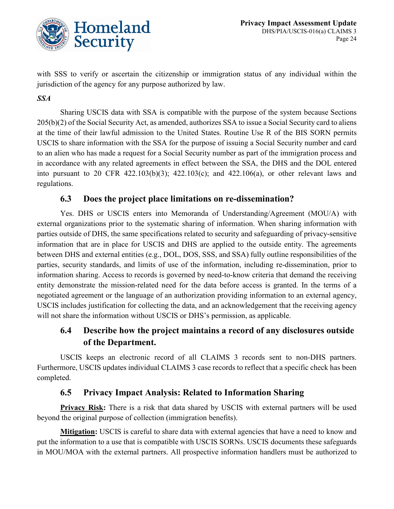

with SSS to verify or ascertain the citizenship or immigration status of any individual within the jurisdiction of the agency for any purpose authorized by law.

#### *SSA*

Sharing USCIS data with SSA is compatible with the purpose of the system because Sections 205(b)(2) of the Social Security Act, as amended, authorizes SSA to issue a Social Security card to aliens at the time of their lawful admission to the United States. Routine Use R of the BIS SORN permits USCIS to share information with the SSA for the purpose of issuing a Social Security number and card to an alien who has made a request for a Social Security number as part of the immigration process and in accordance with any related agreements in effect between the SSA, the DHS and the DOL entered into pursuant to 20 CFR 422.103(b)(3); 422.103(c); and 422.106(a), or other relevant laws and regulations.

#### **6.3 Does the project place limitations on re-dissemination?**

Yes. DHS or USCIS enters into Memoranda of Understanding/Agreement (MOU/A) with external organizations prior to the systematic sharing of information. When sharing information with parties outside of DHS, the same specifications related to security and safeguarding of privacy-sensitive information that are in place for USCIS and DHS are applied to the outside entity. The agreements between DHS and external entities (e.g., DOL, DOS, SSS, and SSA) fully outline responsibilities of the parties, security standards, and limits of use of the information, including re-dissemination, prior to information sharing. Access to records is governed by need-to-know criteria that demand the receiving entity demonstrate the mission-related need for the data before access is granted. In the terms of a negotiated agreement or the language of an authorization providing information to an external agency, USCIS includes justification for collecting the data, and an acknowledgement that the receiving agency will not share the information without USCIS or DHS's permission, as applicable.

### **6.4 Describe how the project maintains a record of any disclosures outside of the Department.**

USCIS keeps an electronic record of all CLAIMS 3 records sent to non-DHS partners. Furthermore, USCIS updates individual CLAIMS 3 case records to reflect that a specific check has been completed.

### **6.5 Privacy Impact Analysis: Related to Information Sharing**

**Privacy Risk:** There is a risk that data shared by USCIS with external partners will be used beyond the original purpose of collection (immigration benefits).

**Mitigation:** USCIS is careful to share data with external agencies that have a need to know and put the information to a use that is compatible with USCIS SORNs. USCIS documents these safeguards in MOU/MOA with the external partners. All prospective information handlers must be authorized to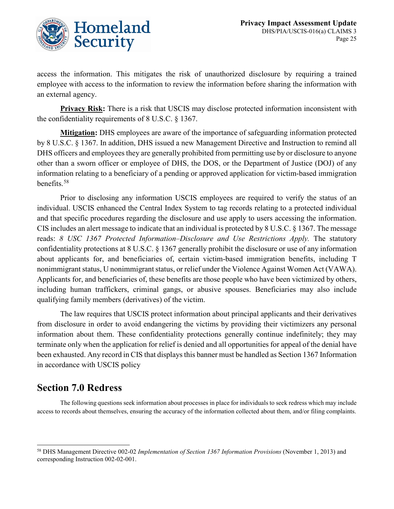

access the information. This mitigates the risk of unauthorized disclosure by requiring a trained employee with access to the information to review the information before sharing the information with an external agency.

**Privacy Risk:** There is a risk that USCIS may disclose protected information inconsistent with the confidentiality requirements of 8 U.S.C. § 1367.

**Mitigation:** DHS employees are aware of the importance of safeguarding information protected by 8 U.S.C. § 1367. In addition, DHS issued a new Management Directive and Instruction to remind all DHS officers and employees they are generally prohibited from permitting use by or disclosure to anyone other than a sworn officer or employee of DHS, the DOS, or the Department of Justice (DOJ) of any information relating to a beneficiary of a pending or approved application for victim-based immigration benefits.[58](#page-25-0)

Prior to disclosing any information USCIS employees are required to verify the status of an individual. USCIS enhanced the Central Index System to tag records relating to a protected individual and that specific procedures regarding the disclosure and use apply to users accessing the information. CIS includes an alert message to indicate that an individual is protected by 8 U.S.C. § 1367. The message reads: *8 USC 1367 Protected Information–Disclosure and Use Restrictions Apply.* The statutory confidentiality protections at 8 U.S.C. § 1367 generally prohibit the disclosure or use of any information about applicants for, and beneficiaries of, certain victim-based immigration benefits, including T nonimmigrant status, U nonimmigrant status, or relief under the Violence Against Women Act (VAWA). Applicants for, and beneficiaries of, these benefits are those people who have been victimized by others, including human traffickers, criminal gangs, or abusive spouses. Beneficiaries may also include qualifying family members (derivatives) of the victim.

The law requires that USCIS protect information about principal applicants and their derivatives from disclosure in order to avoid endangering the victims by providing their victimizers any personal information about them. These confidentiality protections generally continue indefinitely; they may terminate only when the application for relief is denied and all opportunities for appeal of the denial have been exhausted. Any record in CIS that displays this banner must be handled as Section 1367 Information in accordance with USCIS policy

# **Section 7.0 Redress**

The following questions seek information about processes in place for individuals to seek redress which may include access to records about themselves, ensuring the accuracy of the information collected about them, and/or filing complaints.

<span id="page-25-0"></span> <sup>58</sup> DHS Management Directive 002-02 *Implementation of Section 1367 Information Provisions* (November 1, 2013) and corresponding Instruction 002-02-001.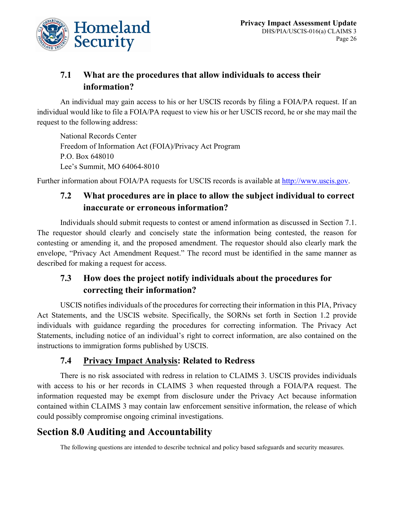

### **7.1 What are the procedures that allow individuals to access their information?**

An individual may gain access to his or her USCIS records by filing a FOIA/PA request. If an individual would like to file a FOIA/PA request to view his or her USCIS record, he or she may mail the request to the following address:

National Records Center Freedom of Information Act (FOIA)/Privacy Act Program P.O. Box 648010 Lee's Summit, MO 64064-8010

Further information about FOIA/PA requests for USCIS records is available at [http://www.uscis.gov.](http://www.uscis.gov/)

### **7.2 What procedures are in place to allow the subject individual to correct inaccurate or erroneous information?**

Individuals should submit requests to contest or amend information as discussed in Section 7.1. The requestor should clearly and concisely state the information being contested, the reason for contesting or amending it, and the proposed amendment. The requestor should also clearly mark the envelope, "Privacy Act Amendment Request." The record must be identified in the same manner as described for making a request for access.

## **7.3 How does the project notify individuals about the procedures for correcting their information?**

USCIS notifies individuals of the procedures for correcting their information in this PIA, Privacy Act Statements, and the USCIS website. Specifically, the SORNs set forth in Section 1.2 provide individuals with guidance regarding the procedures for correcting information. The Privacy Act Statements, including notice of an individual's right to correct information, are also contained on the instructions to immigration forms published by USCIS.

### **7.4 Privacy Impact Analysis: Related to Redress**

There is no risk associated with redress in relation to CLAIMS 3. USCIS provides individuals with access to his or her records in CLAIMS 3 when requested through a FOIA/PA request. The information requested may be exempt from disclosure under the Privacy Act because information contained within CLAIMS 3 may contain law enforcement sensitive information, the release of which could possibly compromise ongoing criminal investigations.

# **Section 8.0 Auditing and Accountability**

The following questions are intended to describe technical and policy based safeguards and security measures.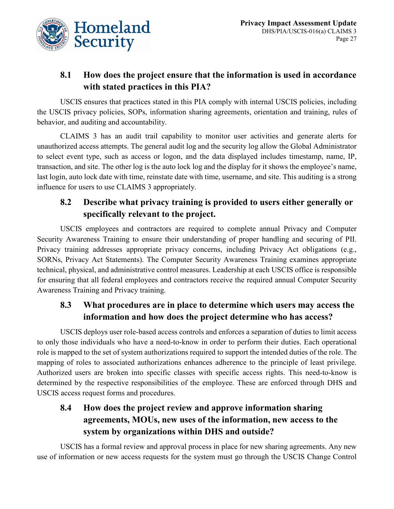

### **8.1 How does the project ensure that the information is used in accordance with stated practices in this PIA?**

USCIS ensures that practices stated in this PIA comply with internal USCIS policies, including the USCIS privacy policies, SOPs, information sharing agreements, orientation and training, rules of behavior, and auditing and accountability.

CLAIMS 3 has an audit trail capability to monitor user activities and generate alerts for unauthorized access attempts. The general audit log and the security log allow the Global Administrator to select event type, such as access or logon, and the data displayed includes timestamp, name, IP, transaction, and site. The other log is the auto lock log and the display for it shows the employee's name, last login, auto lock date with time, reinstate date with time, username, and site. This auditing is a strong influence for users to use CLAIMS 3 appropriately.

# **8.2 Describe what privacy training is provided to users either generally or specifically relevant to the project.**

USCIS employees and contractors are required to complete annual Privacy and Computer Security Awareness Training to ensure their understanding of proper handling and securing of PII. Privacy training addresses appropriate privacy concerns, including Privacy Act obligations (e.g., SORNs, Privacy Act Statements). The Computer Security Awareness Training examines appropriate technical, physical, and administrative control measures. Leadership at each USCIS office is responsible for ensuring that all federal employees and contractors receive the required annual Computer Security Awareness Training and Privacy training.

### **8.3 What procedures are in place to determine which users may access the information and how does the project determine who has access?**

USCIS deploys user role-based access controls and enforces a separation of duties to limit access to only those individuals who have a need-to-know in order to perform their duties. Each operational role is mapped to the set of system authorizations required to support the intended duties of the role. The mapping of roles to associated authorizations enhances adherence to the principle of least privilege. Authorized users are broken into specific classes with specific access rights. This need-to-know is determined by the respective responsibilities of the employee. These are enforced through DHS and USCIS access request forms and procedures.

# **8.4 How does the project review and approve information sharing agreements, MOUs, new uses of the information, new access to the system by organizations within DHS and outside?**

USCIS has a formal review and approval process in place for new sharing agreements. Any new use of information or new access requests for the system must go through the USCIS Change Control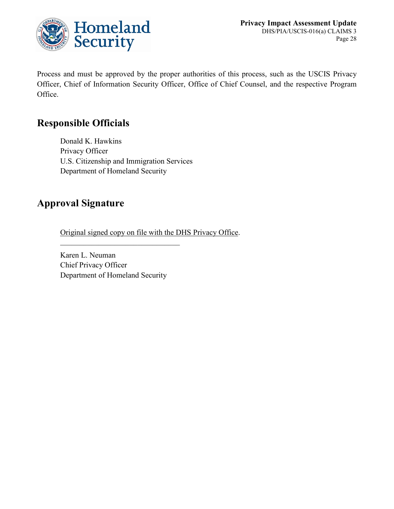

Process and must be approved by the proper authorities of this process, such as the USCIS Privacy Officer, Chief of Information Security Officer, Office of Chief Counsel, and the respective Program Office.

# **Responsible Officials**

Donald K. Hawkins Privacy Officer U.S. Citizenship and Immigration Services Department of Homeland Security

# **Approval Signature**

Original signed copy on file with the DHS Privacy Office.

Karen L. Neuman Chief Privacy Officer Department of Homeland Security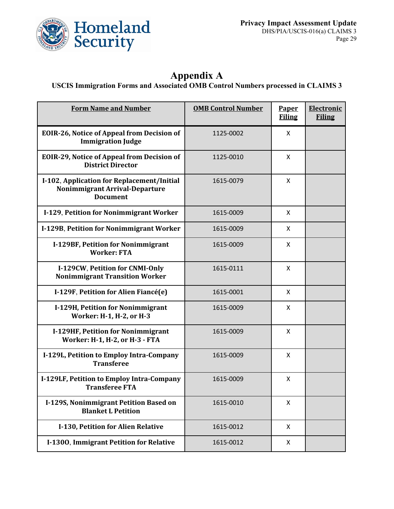

# **Appendix A**

#### **USCIS Immigration Forms and Associated OMB Control Numbers processed in CLAIMS 3**

| <b>Form Name and Number</b>                                                                     | <b>OMB Control Number</b> | Paper<br><b>Filing</b> | Electronic<br><b>Filing</b> |
|-------------------------------------------------------------------------------------------------|---------------------------|------------------------|-----------------------------|
| <b>EOIR-26, Notice of Appeal from Decision of</b><br><b>Immigration Judge</b>                   | 1125-0002                 | X                      |                             |
| <b>EOIR-29, Notice of Appeal from Decision of</b><br><b>District Director</b>                   | 1125-0010                 | X                      |                             |
| I-102, Application for Replacement/Initial<br>Nonimmigrant Arrival-Departure<br><b>Document</b> | 1615-0079                 | X                      |                             |
| I-129, Petition for Nonimmigrant Worker                                                         | 1615-0009                 | X                      |                             |
| I-129B, Petition for Nonimmigrant Worker                                                        | 1615-0009                 | X                      |                             |
| I-129BF, Petition for Nonimmigrant<br><b>Worker: FTA</b>                                        | 1615-0009                 | X                      |                             |
| I-129CW, Petition for CNMI-Only<br><b>Nonimmigrant Transition Worker</b>                        | 1615-0111                 | X                      |                             |
| I-129F, Petition for Alien Fiancé(e)                                                            | 1615-0001                 | X                      |                             |
| I-129H, Petition for Nonimmigrant<br>Worker: H-1, H-2, or H-3                                   | 1615-0009                 | X                      |                             |
| I-129HF, Petition for Nonimmigrant<br>Worker: H-1, H-2, or H-3 - FTA                            | 1615-0009                 | X                      |                             |
| I-129L, Petition to Employ Intra-Company<br><b>Transferee</b>                                   | 1615-0009                 | X                      |                             |
| I-129LF, Petition to Employ Intra-Company<br><b>Transferee FTA</b>                              | 1615-0009                 | X                      |                             |
| I-129S, Nonimmigrant Petition Based on<br><b>Blanket L Petition</b>                             | 1615-0010                 | X                      |                             |
| I-130, Petition for Alien Relative                                                              | 1615-0012                 | X                      |                             |
| I-1300, Immigrant Petition for Relative                                                         | 1615-0012                 | X                      |                             |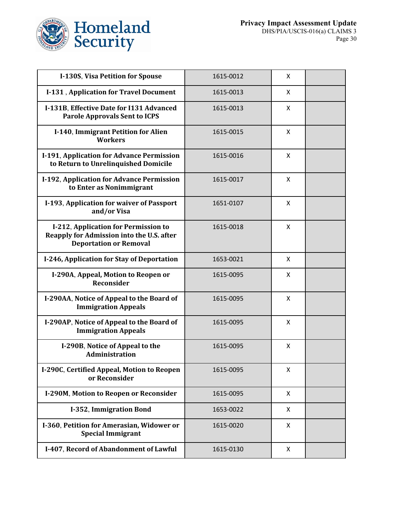

| I-130S, Visa Petition for Spouse                                                                                   | 1615-0012 | X |  |
|--------------------------------------------------------------------------------------------------------------------|-----------|---|--|
| I-131, Application for Travel Document                                                                             | 1615-0013 | X |  |
| I-131B, Effective Date for I131 Advanced<br><b>Parole Approvals Sent to ICPS</b>                                   | 1615-0013 | X |  |
| I-140, Immigrant Petition for Alien<br><b>Workers</b>                                                              | 1615-0015 | X |  |
| I-191, Application for Advance Permission<br>to Return to Unrelinquished Domicile                                  | 1615-0016 | X |  |
| I-192, Application for Advance Permission<br>to Enter as Nonimmigrant                                              | 1615-0017 | X |  |
| I-193, Application for waiver of Passport<br>and/or Visa                                                           | 1651-0107 | X |  |
| I-212, Application for Permission to<br>Reapply for Admission into the U.S. after<br><b>Deportation or Removal</b> | 1615-0018 | X |  |
| I-246, Application for Stay of Deportation                                                                         | 1653-0021 | X |  |
| I-290A, Appeal, Motion to Reopen or<br><b>Reconsider</b>                                                           | 1615-0095 | X |  |
| I-290AA, Notice of Appeal to the Board of<br><b>Immigration Appeals</b>                                            | 1615-0095 | X |  |
| I-290AP, Notice of Appeal to the Board of<br><b>Immigration Appeals</b>                                            | 1615-0095 | X |  |
| I-290B, Notice of Appeal to the<br><b>Administration</b>                                                           | 1615-0095 | X |  |
| I-290C, Certified Appeal, Motion to Reopen<br>or Reconsider                                                        | 1615-0095 | X |  |
| I-290M, Motion to Reopen or Reconsider                                                                             | 1615-0095 | X |  |
| I-352, Immigration Bond                                                                                            | 1653-0022 | X |  |
| I-360, Petition for Amerasian, Widower or<br><b>Special Immigrant</b>                                              | 1615-0020 | X |  |
| I-407, Record of Abandonment of Lawful                                                                             | 1615-0130 | X |  |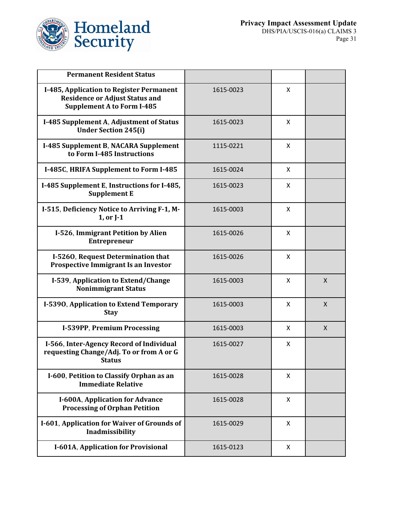

| <b>Permanent Resident Status</b>                                                                                       |           |                           |              |
|------------------------------------------------------------------------------------------------------------------------|-----------|---------------------------|--------------|
| I-485, Application to Register Permanent<br><b>Residence or Adjust Status and</b><br><b>Supplement A to Form I-485</b> | 1615-0023 | X                         |              |
| I-485 Supplement A, Adjustment of Status<br><b>Under Section 245(i)</b>                                                | 1615-0023 | X                         |              |
| I-485 Supplement B, NACARA Supplement<br>to Form I-485 Instructions                                                    | 1115-0221 | $\boldsymbol{\mathsf{X}}$ |              |
| I-485C, HRIFA Supplement to Form I-485                                                                                 | 1615-0024 | X                         |              |
| I-485 Supplement E, Instructions for I-485,<br><b>Supplement E</b>                                                     | 1615-0023 | X                         |              |
| I-515, Deficiency Notice to Arriving F-1, M-<br>1, or J-1                                                              | 1615-0003 | X                         |              |
| I-526, Immigrant Petition by Alien<br><b>Entrepreneur</b>                                                              | 1615-0026 | X                         |              |
| I-5260, Request Determination that<br>Prospective Immigrant Is an Investor                                             | 1615-0026 | X                         |              |
| I-539, Application to Extend/Change<br><b>Nonimmigrant Status</b>                                                      | 1615-0003 | $\boldsymbol{\mathsf{X}}$ | $\mathsf{X}$ |
| I-5390, Application to Extend Temporary<br><b>Stay</b>                                                                 | 1615-0003 | X                         | X            |
| I-539PP, Premium Processing                                                                                            | 1615-0003 | X                         | $\mathsf{X}$ |
| I-566, Inter-Agency Record of Individual<br>requesting Change/Adj. To or from A or G<br>Status                         | 1615-0027 | X                         |              |
| I-600, Petition to Classify Orphan as an<br><b>Immediate Relative</b>                                                  | 1615-0028 | X                         |              |
| I-600A, Application for Advance<br><b>Processing of Orphan Petition</b>                                                | 1615-0028 | X                         |              |
| I-601, Application for Waiver of Grounds of<br>Inadmissibility                                                         | 1615-0029 | X                         |              |
| I-601A, Application for Provisional                                                                                    | 1615-0123 | X                         |              |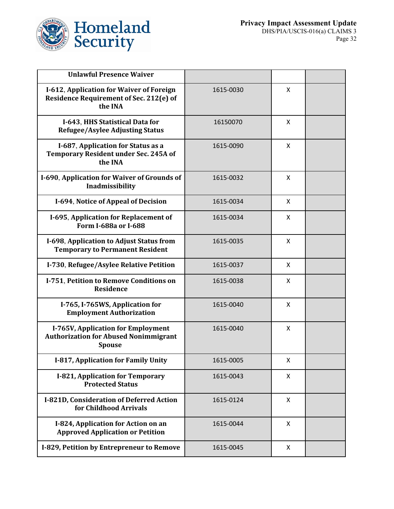

| <b>Unlawful Presence Waiver</b>                                                                       |           |                           |  |
|-------------------------------------------------------------------------------------------------------|-----------|---------------------------|--|
| I-612, Application for Waiver of Foreign<br><b>Residence Requirement of Sec. 212(e) of</b><br>the INA | 1615-0030 | X                         |  |
| I-643, HHS Statistical Data for<br><b>Refugee/Asylee Adjusting Status</b>                             | 16150070  | X                         |  |
| I-687, Application for Status as a<br><b>Temporary Resident under Sec. 245A of</b><br>the INA         | 1615-0090 | X                         |  |
| I-690, Application for Waiver of Grounds of<br>Inadmissibility                                        | 1615-0032 | X                         |  |
| I-694, Notice of Appeal of Decision                                                                   | 1615-0034 | X                         |  |
| I-695, Application for Replacement of<br>Form I-688a or I-688                                         | 1615-0034 | X                         |  |
| I-698, Application to Adjust Status from<br><b>Temporary to Permanent Resident</b>                    | 1615-0035 | X                         |  |
| I-730, Refugee/Asylee Relative Petition                                                               | 1615-0037 | X                         |  |
| I-751, Petition to Remove Conditions on<br><b>Residence</b>                                           | 1615-0038 | X                         |  |
| I-765, I-765WS, Application for<br><b>Employment Authorization</b>                                    | 1615-0040 | X                         |  |
| I-765V, Application for Employment<br><b>Authorization for Abused Nonimmigrant</b><br><b>Spouse</b>   | 1615-0040 | X                         |  |
| I-817, Application for Family Unity                                                                   | 1615-0005 | X                         |  |
| I-821, Application for Temporary<br><b>Protected Status</b>                                           | 1615-0043 | X                         |  |
| I-821D, Consideration of Deferred Action<br>for Childhood Arrivals                                    | 1615-0124 | X                         |  |
| I-824, Application for Action on an<br><b>Approved Application or Petition</b>                        | 1615-0044 | $\boldsymbol{\mathsf{X}}$ |  |
| I-829, Petition by Entrepreneur to Remove                                                             | 1615-0045 | X                         |  |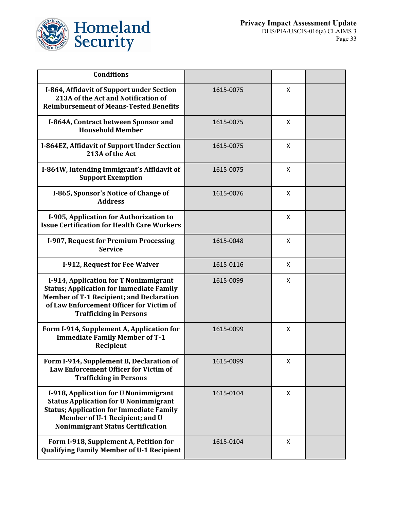

| <b>Conditions</b>                                                                                                                                                                                                        |           |   |  |
|--------------------------------------------------------------------------------------------------------------------------------------------------------------------------------------------------------------------------|-----------|---|--|
| I-864, Affidavit of Support under Section<br>213A of the Act and Notification of<br><b>Reimbursement of Means-Tested Benefits</b>                                                                                        | 1615-0075 | X |  |
| I-864A, Contract between Sponsor and<br><b>Household Member</b>                                                                                                                                                          | 1615-0075 | X |  |
| I-864EZ, Affidavit of Support Under Section<br>213A of the Act                                                                                                                                                           | 1615-0075 | X |  |
| I-864W, Intending Immigrant's Affidavit of<br><b>Support Exemption</b>                                                                                                                                                   | 1615-0075 | X |  |
| I-865, Sponsor's Notice of Change of<br><b>Address</b>                                                                                                                                                                   | 1615-0076 | X |  |
| I-905, Application for Authorization to<br><b>Issue Certification for Health Care Workers</b>                                                                                                                            |           | X |  |
| I-907, Request for Premium Processing<br><b>Service</b>                                                                                                                                                                  | 1615-0048 | X |  |
| I-912, Request for Fee Waiver                                                                                                                                                                                            | 1615-0116 | X |  |
| I-914, Application for T Nonimmigrant<br><b>Status; Application for Immediate Family</b><br><b>Member of T-1 Recipient; and Declaration</b><br>of Law Enforcement Officer for Victim of<br><b>Trafficking in Persons</b> | 1615-0099 | X |  |
| Form I-914, Supplement A, Application for<br><b>Immediate Family Member of T-1</b><br>Recipient                                                                                                                          | 1615-0099 | X |  |
| Form I-914, Supplement B, Declaration of<br><b>Law Enforcement Officer for Victim of</b><br><b>Trafficking in Persons</b>                                                                                                | 1615-0099 | x |  |
| I-918, Application for U Nonimmigrant<br><b>Status Application for U Nonimmigrant</b><br><b>Status; Application for Immediate Family</b><br>Member of U-1 Recipient; and U<br><b>Nonimmigrant Status Certification</b>   | 1615-0104 | X |  |
| Form I-918, Supplement A, Petition for<br><b>Qualifying Family Member of U-1 Recipient</b>                                                                                                                               | 1615-0104 | X |  |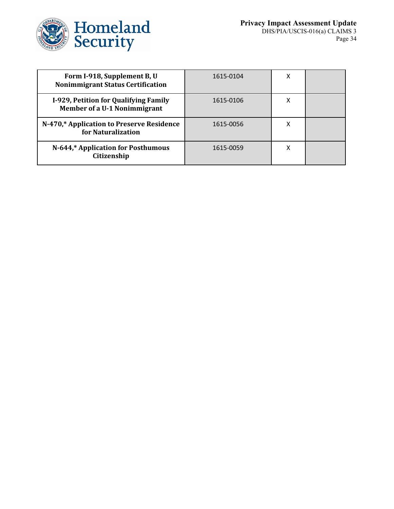

| Form I-918, Supplement B, U<br><b>Nonimmigrant Status Certification</b>      | 1615-0104 |  |
|------------------------------------------------------------------------------|-----------|--|
| I-929, Petition for Qualifying Family<br><b>Member of a U-1 Nonimmigrant</b> | 1615-0106 |  |
| N-470,* Application to Preserve Residence<br>for Naturalization              | 1615-0056 |  |
| N-644,* Application for Posthumous<br>Citizenship                            | 1615-0059 |  |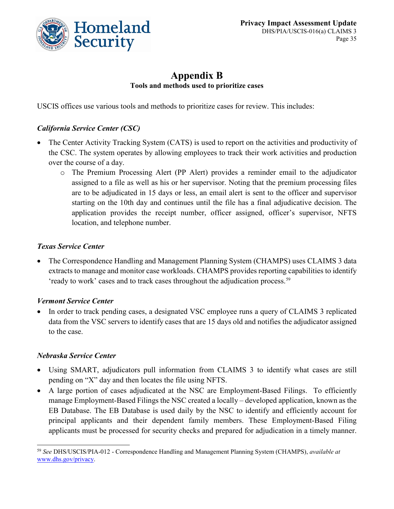

### **Appendix B Tools and methods used to prioritize cases**

USCIS offices use various tools and methods to prioritize cases for review. This includes:

#### *California Service Center (CSC)*

- The Center Activity Tracking System (CATS) is used to report on the activities and productivity of the CSC. The system operates by allowing employees to track their work activities and production over the course of a day.
	- o The Premium Processing Alert (PP Alert) provides a reminder email to the adjudicator assigned to a file as well as his or her supervisor. Noting that the premium processing files are to be adjudicated in 15 days or less, an email alert is sent to the officer and supervisor starting on the 10th day and continues until the file has a final adjudicative decision. The application provides the receipt number, officer assigned, officer's supervisor, NFTS location, and telephone number.

#### *Texas Service Center*

• The Correspondence Handling and Management Planning System (CHAMPS) uses CLAIMS 3 data extracts to manage and monitor case workloads. CHAMPS provides reporting capabilities to identify 'ready to work' cases and to track cases throughout the adjudication process.[59](#page-35-0)

#### *Vermont Service Center*

• In order to track pending cases, a designated VSC employee runs a query of CLAIMS 3 replicated data from the VSC servers to identify cases that are 15 days old and notifies the adjudicator assigned to the case.

#### *Nebraska Service Center*

- Using SMART, adjudicators pull information from CLAIMS 3 to identify what cases are still pending on "X" day and then locates the file using NFTS.
- A large portion of cases adjudicated at the NSC are Employment-Based Filings. To efficiently manage Employment-Based Filings the NSC created a locally – developed application, known as the EB Database. The EB Database is used daily by the NSC to identify and efficiently account for principal applicants and their dependent family members. These Employment-Based Filing applicants must be processed for security checks and prepared for adjudication in a timely manner.

<span id="page-35-0"></span> <sup>59</sup> *See* DHS/USCIS/PIA-012 - Correspondence Handling and Management Planning System (CHAMPS), *available at* [www.dhs.gov/privacy.](http://www.dhs.gov/privacy)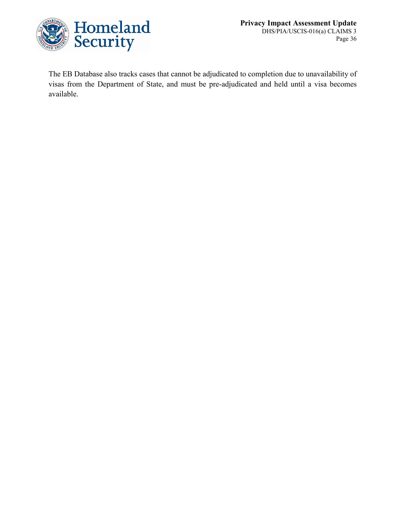

The EB Database also tracks cases that cannot be adjudicated to completion due to unavailability of visas from the Department of State, and must be pre-adjudicated and held until a visa becomes available.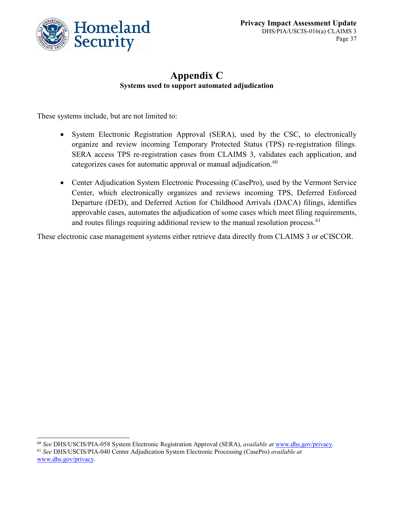

### **Appendix C Systems used to support automated adjudication**

These systems include, but are not limited to:

- System Electronic Registration Approval (SERA), used by the CSC, to electronically organize and review incoming Temporary Protected Status (TPS) re-registration filings. SERA access TPS re-registration cases from CLAIMS 3, validates each application, and categorizes cases for automatic approval or manual adjudication.<sup>[60](#page-37-0)</sup>
- Center Adjudication System Electronic Processing (CasePro), used by the Vermont Service Center, which electronically organizes and reviews incoming TPS, Deferred Enforced Departure (DED), and Deferred Action for Childhood Arrivals (DACA) filings, identifies approvable cases, automates the adjudication of some cases which meet filing requirements, and routes filings requiring additional review to the manual resolution process.  $61$

These electronic case management systems either retrieve data directly from CLAIMS 3 or eCISCOR.

<span id="page-37-0"></span> <sup>60</sup> *See* DHS/USCIS/PIA-058 System Electronic Registration Approval (SERA), *available at* [www.dhs.gov/privacy.](http://www.dhs.gov/privacy)

<span id="page-37-1"></span><sup>61</sup> *See* DHS/USCIS/PIA-040 Center Adjudication System Electronic Processing (CasePro) *available at*  [www.dhs.gov/privacy.](http://www.dhs.gov/privacy)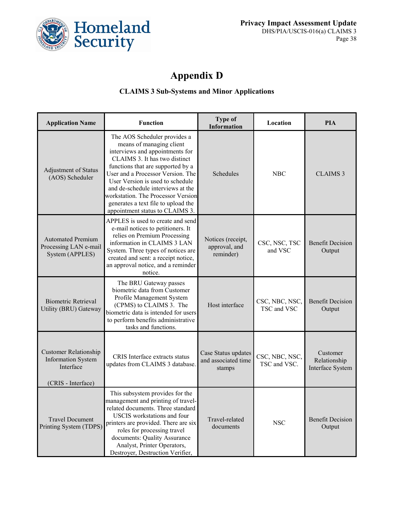

# **Appendix D**

#### **CLAIMS 3 Sub-Systems and Minor Applications**

| <b>Application Name</b>                                                                      | <b>Function</b>                                                                                                                                                                                                                                                                                                                                                                                 | <b>Type of</b><br><b>Information</b>                 | Location                       | <b>PIA</b>                                   |
|----------------------------------------------------------------------------------------------|-------------------------------------------------------------------------------------------------------------------------------------------------------------------------------------------------------------------------------------------------------------------------------------------------------------------------------------------------------------------------------------------------|------------------------------------------------------|--------------------------------|----------------------------------------------|
| Adjustment of Status<br>(AOS) Scheduler                                                      | The AOS Scheduler provides a<br>means of managing client<br>interviews and appointments for<br>CLAIMS 3. It has two distinct<br>functions that are supported by a<br>User and a Processor Version. The<br>User Version is used to schedule<br>and de-schedule interviews at the<br>workstation. The Processor Version<br>generates a text file to upload the<br>appointment status to CLAIMS 3. | Schedules                                            | <b>NBC</b>                     | <b>CLAIMS 3</b>                              |
| <b>Automated Premium</b><br>Processing LAN e-mail<br>System (APPLES)                         | APPLES is used to create and send<br>e-mail notices to petitioners. It<br>relies on Premium Processing<br>information in CLAIMS 3 LAN<br>System. Three types of notices are<br>created and sent: a receipt notice,<br>an approval notice, and a reminder<br>notice.                                                                                                                             | Notices (receipt,<br>approval, and<br>reminder)      | CSC, NSC, TSC<br>and VSC       | <b>Benefit Decision</b><br>Output            |
| <b>Biometric Retrieval</b><br>Utility (BRU) Gateway                                          | The BRU Gateway passes<br>biometric data from Customer<br>Profile Management System<br>(CPMS) to CLAIMS 3. The<br>biometric data is intended for users<br>to perform benefits administrative<br>tasks and functions.                                                                                                                                                                            | Host interface                                       | CSC, NBC, NSC,<br>TSC and VSC  | <b>Benefit Decision</b><br>Output            |
| <b>Customer Relationship</b><br><b>Information System</b><br>Interface<br>(CRIS - Interface) | CRIS Interface extracts status<br>updates from CLAIMS 3 database.                                                                                                                                                                                                                                                                                                                               | Case Status updates<br>and associated time<br>stamps | CSC, NBC, NSC,<br>TSC and VSC. | Customer<br>Relationship<br>Interface System |
| <b>Travel Document</b><br>Printing System (TDPS)                                             | This subsystem provides for the<br>management and printing of travel-<br>related documents. Three standard<br>USCIS workstations and four<br>printers are provided. There are six<br>roles for processing travel<br>documents: Quality Assurance<br>Analyst, Printer Operators,<br>Destroyer, Destruction Verifier,                                                                             | Travel-related<br>documents                          | <b>NSC</b>                     | <b>Benefit Decision</b><br>Output            |